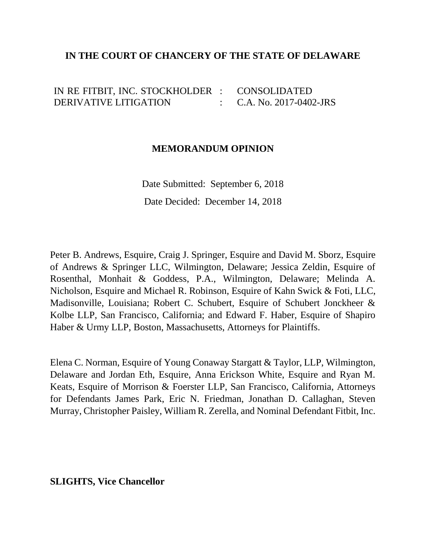## **IN THE COURT OF CHANCERY OF THE STATE OF DELAWARE**

IN RE FITBIT, INC. STOCKHOLDER : DERIVATIVE LITIGATION : 1999 (Particular) CONSOLIDATED C.A. No. 2017-0402-JRS

### **MEMORANDUM OPINION**

Date Submitted: September 6, 2018 Date Decided: December 14, 2018

Peter B. Andrews, Esquire, Craig J. Springer, Esquire and David M. Sborz, Esquire of Andrews & Springer LLC, Wilmington, Delaware; Jessica Zeldin, Esquire of Rosenthal, Monhait & Goddess, P.A., Wilmington, Delaware; Melinda A. Nicholson, Esquire and Michael R. Robinson, Esquire of Kahn Swick & Foti, LLC, Madisonville, Louisiana; Robert C. Schubert, Esquire of Schubert Jonckheer & Kolbe LLP, San Francisco, California; and Edward F. Haber, Esquire of Shapiro Haber & Urmy LLP, Boston, Massachusetts, Attorneys for Plaintiffs.

Elena C. Norman, Esquire of Young Conaway Stargatt & Taylor, LLP, Wilmington, Delaware and Jordan Eth, Esquire, Anna Erickson White, Esquire and Ryan M. Keats, Esquire of Morrison & Foerster LLP, San Francisco, California, Attorneys for Defendants James Park, Eric N. Friedman, Jonathan D. Callaghan, Steven Murray, Christopher Paisley, William R. Zerella, and Nominal Defendant Fitbit, Inc.

**SLIGHTS, Vice Chancellor**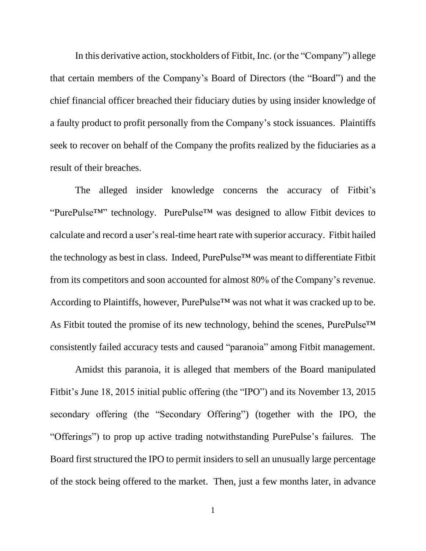In this derivative action, stockholders of Fitbit, Inc. (or the "Company") allege that certain members of the Company's Board of Directors (the "Board") and the chief financial officer breached their fiduciary duties by using insider knowledge of a faulty product to profit personally from the Company's stock issuances. Plaintiffs seek to recover on behalf of the Company the profits realized by the fiduciaries as a result of their breaches.

The alleged insider knowledge concerns the accuracy of Fitbit's "PurePulse™" technology. PurePulse™ was designed to allow Fitbit devices to calculate and record a user's real-time heart rate with superior accuracy. Fitbit hailed the technology as best in class. Indeed, PurePulse™ was meant to differentiate Fitbit from its competitors and soon accounted for almost 80% of the Company's revenue. According to Plaintiffs, however, PurePulse™ was not what it was cracked up to be. As Fitbit touted the promise of its new technology, behind the scenes, PurePulse™ consistently failed accuracy tests and caused "paranoia" among Fitbit management.

Amidst this paranoia, it is alleged that members of the Board manipulated Fitbit's June 18, 2015 initial public offering (the "IPO") and its November 13, 2015 secondary offering (the "Secondary Offering") (together with the IPO, the "Offerings") to prop up active trading notwithstanding PurePulse's failures. The Board first structured the IPO to permit insiders to sell an unusually large percentage of the stock being offered to the market. Then, just a few months later, in advance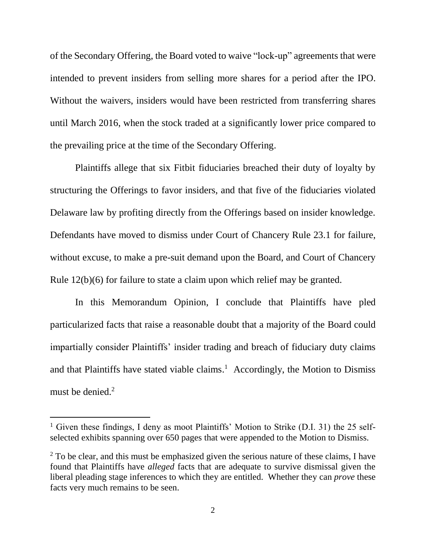of the Secondary Offering, the Board voted to waive "lock-up" agreements that were intended to prevent insiders from selling more shares for a period after the IPO. Without the waivers, insiders would have been restricted from transferring shares until March 2016, when the stock traded at a significantly lower price compared to the prevailing price at the time of the Secondary Offering.

Plaintiffs allege that six Fitbit fiduciaries breached their duty of loyalty by structuring the Offerings to favor insiders, and that five of the fiduciaries violated Delaware law by profiting directly from the Offerings based on insider knowledge. Defendants have moved to dismiss under Court of Chancery Rule 23.1 for failure, without excuse, to make a pre-suit demand upon the Board, and Court of Chancery Rule 12(b)(6) for failure to state a claim upon which relief may be granted.

In this Memorandum Opinion, I conclude that Plaintiffs have pled particularized facts that raise a reasonable doubt that a majority of the Board could impartially consider Plaintiffs' insider trading and breach of fiduciary duty claims and that Plaintiffs have stated viable claims. 1 Accordingly, the Motion to Dismiss must be denied.<sup>2</sup>

<sup>&</sup>lt;sup>1</sup> Given these findings, I deny as moot Plaintiffs' Motion to Strike (D.I. 31) the 25 selfselected exhibits spanning over 650 pages that were appended to the Motion to Dismiss.

 $2$  To be clear, and this must be emphasized given the serious nature of these claims, I have found that Plaintiffs have *alleged* facts that are adequate to survive dismissal given the liberal pleading stage inferences to which they are entitled. Whether they can *prove* these facts very much remains to be seen.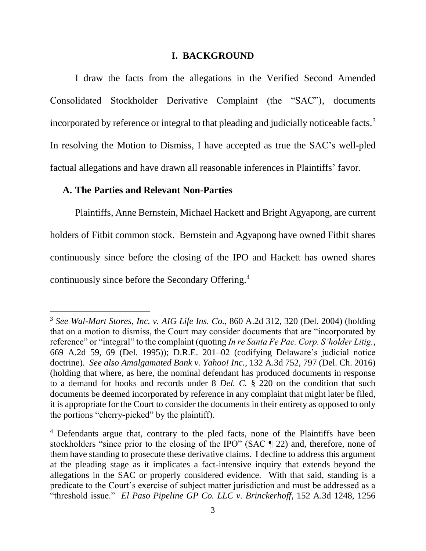#### **I. BACKGROUND**

I draw the facts from the allegations in the Verified Second Amended Consolidated Stockholder Derivative Complaint (the "SAC"), documents incorporated by reference or integral to that pleading and judicially noticeable facts.<sup>3</sup> In resolving the Motion to Dismiss, I have accepted as true the SAC's well-pled factual allegations and have drawn all reasonable inferences in Plaintiffs' favor.

#### **A. The Parties and Relevant Non-Parties**

 $\overline{a}$ 

Plaintiffs, Anne Bernstein, Michael Hackett and Bright Agyapong, are current holders of Fitbit common stock. Bernstein and Agyapong have owned Fitbit shares continuously since before the closing of the IPO and Hackett has owned shares continuously since before the Secondary Offering.<sup>4</sup>

<sup>3</sup> *See Wal-Mart Stores, Inc. v. AIG Life Ins. Co.*, 860 A.2d 312, 320 (Del. 2004) (holding that on a motion to dismiss, the Court may consider documents that are "incorporated by reference" or "integral" to the complaint (quoting *In re Santa Fe Pac. Corp. S'holder Litig.*, 669 A.2d 59, 69 (Del. 1995)); D.R.E. 201–02 (codifying Delaware's judicial notice doctrine). *See also Amalgamated Bank v. Yahoo! Inc.*, 132 A.3d 752, 797 (Del. Ch. 2016) (holding that where, as here, the nominal defendant has produced documents in response to a demand for books and records under 8 *Del. C.* § 220 on the condition that such documents be deemed incorporated by reference in any complaint that might later be filed, it is appropriate for the Court to consider the documents in their entirety as opposed to only the portions "cherry-picked" by the plaintiff).

<sup>4</sup> Defendants argue that, contrary to the pled facts, none of the Plaintiffs have been stockholders "since prior to the closing of the IPO" (SAC ¶ 22) and, therefore, none of them have standing to prosecute these derivative claims. I decline to address this argument at the pleading stage as it implicates a fact-intensive inquiry that extends beyond the allegations in the SAC or properly considered evidence. With that said, standing is a predicate to the Court's exercise of subject matter jurisdiction and must be addressed as a "threshold issue." *El Paso Pipeline GP Co. LLC v. Brinckerhoff*, 152 A.3d 1248, 1256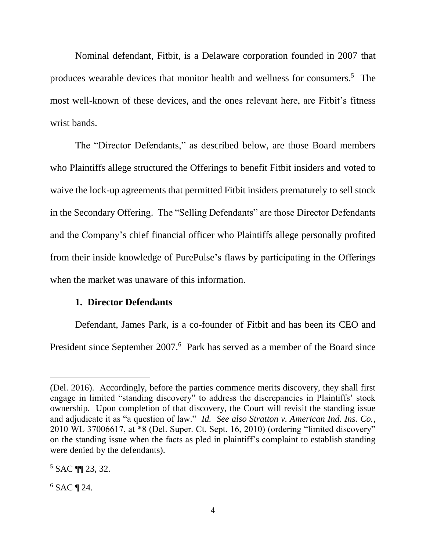Nominal defendant, Fitbit, is a Delaware corporation founded in 2007 that produces wearable devices that monitor health and wellness for consumers. 5 The most well-known of these devices, and the ones relevant here, are Fitbit's fitness wrist bands.

The "Director Defendants," as described below, are those Board members who Plaintiffs allege structured the Offerings to benefit Fitbit insiders and voted to waive the lock-up agreements that permitted Fitbit insiders prematurely to sell stock in the Secondary Offering. The "Selling Defendants" are those Director Defendants and the Company's chief financial officer who Plaintiffs allege personally profited from their inside knowledge of PurePulse's flaws by participating in the Offerings when the market was unaware of this information.

## **1. Director Defendants**

Defendant, James Park, is a co-founder of Fitbit and has been its CEO and President since September 2007.<sup>6</sup> Park has served as a member of the Board since

<sup>(</sup>Del. 2016). Accordingly, before the parties commence merits discovery, they shall first engage in limited "standing discovery" to address the discrepancies in Plaintiffs' stock ownership. Upon completion of that discovery, the Court will revisit the standing issue and adjudicate it as "a question of law." *Id. See also Stratton v. American Ind. Ins. Co.*, 2010 WL 37006617, at \*8 (Del. Super. Ct. Sept. 16, 2010) (ordering "limited discovery" on the standing issue when the facts as pled in plaintiff's complaint to establish standing were denied by the defendants).

<sup>5</sup> SAC ¶¶ 23, 32.

 $6$  SAC ¶ 24.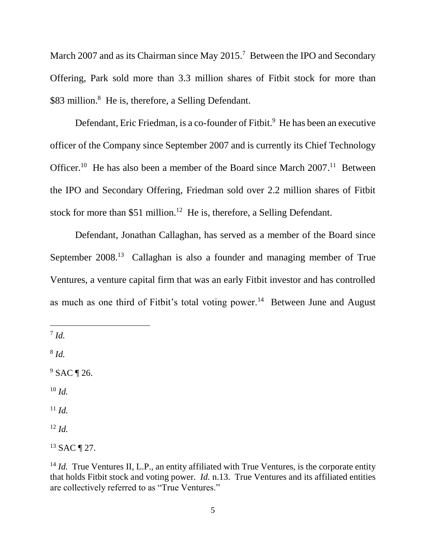March 2007 and as its Chairman since May 2015.<sup>7</sup> Between the IPO and Secondary Offering, Park sold more than 3.3 million shares of Fitbit stock for more than \$83 million.<sup>8</sup> He is, therefore, a Selling Defendant.

Defendant, Eric Friedman, is a co-founder of Fitbit.<sup>9</sup> He has been an executive officer of the Company since September 2007 and is currently its Chief Technology Officer.<sup>10</sup> He has also been a member of the Board since March  $2007$ .<sup>11</sup> Between the IPO and Secondary Offering, Friedman sold over 2.2 million shares of Fitbit stock for more than \$51 million.<sup>12</sup> He is, therefore, a Selling Defendant.

Defendant, Jonathan Callaghan, has served as a member of the Board since September 2008.<sup>13</sup> Callaghan is also a founder and managing member of True Ventures, a venture capital firm that was an early Fitbit investor and has controlled as much as one third of Fitbit's total voting power.<sup>14</sup> Between June and August

7 *Id.*

 $\overline{a}$ 

8 *Id.*

<sup>9</sup> SAC ¶ 26.

<sup>10</sup> *Id.*

 $11$  *Id.* 

<sup>12</sup> *Id.*

<sup>13</sup> SAC ¶ 27.

<sup>&</sup>lt;sup>14</sup> *Id.* True Ventures II, L.P., an entity affiliated with True Ventures, is the corporate entity that holds Fitbit stock and voting power. *Id.* n.13. True Ventures and its affiliated entities are collectively referred to as "True Ventures."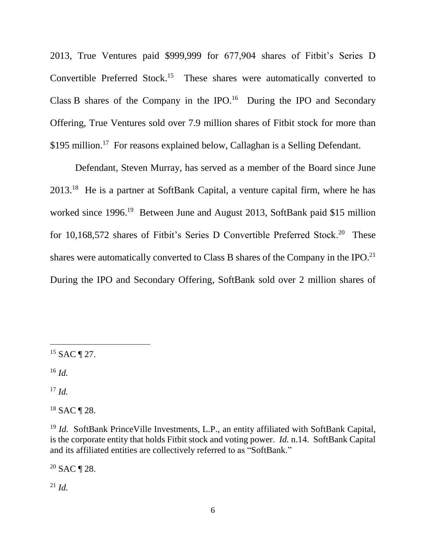2013, True Ventures paid \$999,999 for 677,904 shares of Fitbit's Series D Convertible Preferred Stock.<sup>15</sup> These shares were automatically converted to Class B shares of the Company in the IPO. $16$  During the IPO and Secondary Offering, True Ventures sold over 7.9 million shares of Fitbit stock for more than \$195 million.<sup>17</sup> For reasons explained below, Callaghan is a Selling Defendant.

Defendant, Steven Murray, has served as a member of the Board since June 2013.<sup>18</sup> He is a partner at SoftBank Capital, a venture capital firm, where he has worked since 1996.<sup>19</sup> Between June and August 2013, SoftBank paid \$15 million for 10,168,572 shares of Fitbit's Series D Convertible Preferred Stock.<sup>20</sup> These shares were automatically converted to Class B shares of the Company in the IPO.<sup>21</sup> During the IPO and Secondary Offering, SoftBank sold over 2 million shares of

<sup>16</sup> *Id.*

 $\overline{a}$ 

<sup>17</sup> *Id.*

<sup>18</sup> SAC ¶ 28.

 $20$  SAC ¶ 28.

<sup>21</sup> *Id.*

 $15$  SAC ¶ 27.

<sup>&</sup>lt;sup>19</sup> *Id.* SoftBank PrinceVille Investments, L.P., an entity affiliated with SoftBank Capital, is the corporate entity that holds Fitbit stock and voting power. *Id.* n.14. SoftBank Capital and its affiliated entities are collectively referred to as "SoftBank."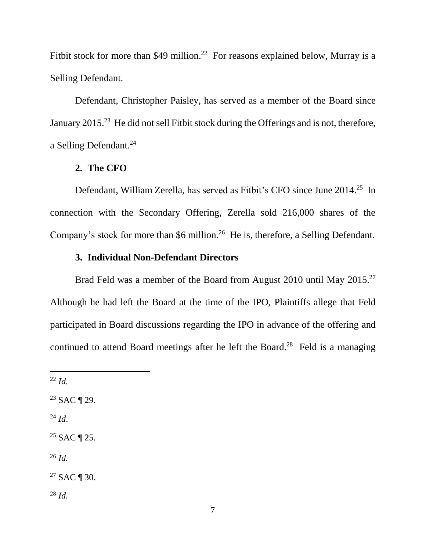Fitbit stock for more than \$49 million.<sup>22</sup> For reasons explained below, Murray is a Selling Defendant.

Defendant, Christopher Paisley, has served as a member of the Board since January 2015.<sup>23</sup> He did not sell Fitbit stock during the Offerings and is not, therefore, a Selling Defendant. 24

## **2. The CFO**

Defendant, William Zerella, has served as Fitbit's CFO since June 2014.<sup>25</sup> In connection with the Secondary Offering, Zerella sold 216,000 shares of the Company's stock for more than \$6 million.<sup>26</sup> He is, therefore, a Selling Defendant.

## **3. Individual Non-Defendant Directors**

Brad Feld was a member of the Board from August 2010 until May 2015.<sup>27</sup> Although he had left the Board at the time of the IPO, Plaintiffs allege that Feld participated in Board discussions regarding the IPO in advance of the offering and continued to attend Board meetings after he left the Board. 28 Feld is a managing

 $\overline{a}$ 

<sup>24</sup> *Id*.

<sup>26</sup> *Id.*

 $27$  SAC ¶ 30.

<sup>28</sup> *Id.*

<sup>22</sup> *Id.*

<sup>23</sup> SAC ¶ 29.

 $25$  SAC ¶ 25.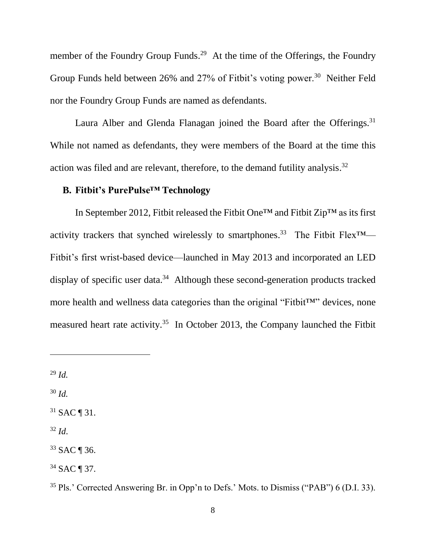member of the Foundry Group Funds.<sup>29</sup> At the time of the Offerings, the Foundry Group Funds held between 26% and 27% of Fitbit's voting power.<sup>30</sup> Neither Feld nor the Foundry Group Funds are named as defendants.

Laura Alber and Glenda Flanagan joined the Board after the Offerings.<sup>31</sup> While not named as defendants, they were members of the Board at the time this action was filed and are relevant, therefore, to the demand futility analysis.<sup>32</sup>

## **B. Fitbit's PurePulse™ Technology**

In September 2012, Fitbit released the Fitbit One™ and Fitbit Zip™ as its first activity trackers that synched wirelessly to smartphones.<sup>33</sup> The Fitbit Flex<sup>TM</sup>— Fitbit's first wrist-based device—launched in May 2013 and incorporated an LED display of specific user data.<sup>34</sup> Although these second-generation products tracked more health and wellness data categories than the original "Fitbit™" devices, none measured heart rate activity.<sup>35</sup> In October 2013, the Company launched the Fitbit

<sup>29</sup> *Id.*

 $\overline{a}$ 

<sup>30</sup> *Id.*

 $31$  SAC ¶ 31.

 $32$  *Id.* 

<sup>33</sup> SAC ¶ 36.

<sup>34</sup> SAC ¶ 37.

<sup>35</sup> Pls.' Corrected Answering Br. in Opp'n to Defs.' Mots. to Dismiss ("PAB") 6 (D.I. 33).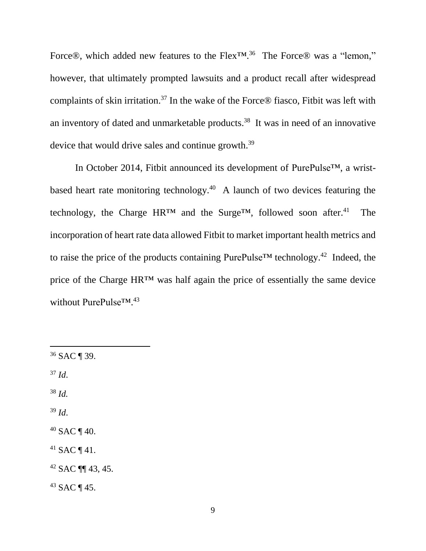Force®, which added new features to the Flex<sup>™, 36</sup> The Force® was a "lemon," however, that ultimately prompted lawsuits and a product recall after widespread complaints of skin irritation.<sup>37</sup> In the wake of the Force® fiasco, Fitbit was left with an inventory of dated and unmarketable products. 38 It was in need of an innovative device that would drive sales and continue growth.<sup>39</sup>

In October 2014, Fitbit announced its development of PurePulse™, a wristbased heart rate monitoring technology. 40 A launch of two devices featuring the technology, the Charge HR™ and the Surge™, followed soon after.<sup>41</sup> The incorporation of heart rate data allowed Fitbit to market important health metrics and to raise the price of the products containing PurePulse<sup>TM</sup> technology.<sup>42</sup> Indeed, the price of the Charge HR™ was half again the price of essentially the same device without PurePulse™. 43

<sup>36</sup> SAC ¶ 39.

<sup>37</sup> *Id*.

 $\overline{a}$ 

<sup>38</sup> *Id.*

 $39$  *Id.* 

 $40$  SAC ¶ 40.

 $41$  SAC ¶ 41.

<sup>42</sup> SAC ¶¶ 43, 45.

<sup>43</sup> SAC ¶ 45.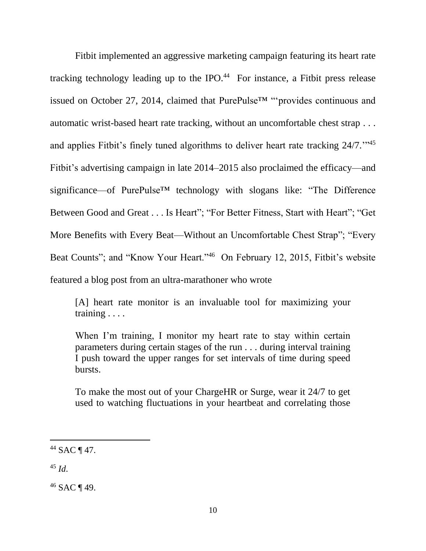Fitbit implemented an aggressive marketing campaign featuring its heart rate tracking technology leading up to the IPO.<sup>44</sup> For instance, a Fitbit press release issued on October 27, 2014, claimed that PurePulse™ "'provides continuous and automatic wrist-based heart rate tracking, without an uncomfortable chest strap . . . and applies Fitbit's finely tuned algorithms to deliver heart rate tracking 24/7."<sup>45</sup> Fitbit's advertising campaign in late 2014–2015 also proclaimed the efficacy—and significance—of PurePulse<sup>™</sup> technology with slogans like: "The Difference Between Good and Great . . . Is Heart"; "For Better Fitness, Start with Heart"; "Get More Benefits with Every Beat—Without an Uncomfortable Chest Strap"; "Every Beat Counts"; and "Know Your Heart."<sup>46</sup> On February 12, 2015, Fitbit's website featured a blog post from an ultra-marathoner who wrote

[A] heart rate monitor is an invaluable tool for maximizing your training . . . .

When I'm training, I monitor my heart rate to stay within certain parameters during certain stages of the run . . . during interval training I push toward the upper ranges for set intervals of time during speed bursts.

To make the most out of your ChargeHR or Surge, wear it 24/7 to get used to watching fluctuations in your heartbeat and correlating those

<sup>45</sup> *Id*.

 $\overline{a}$ 

<sup>46</sup> SAC ¶ 49.

 $44$  SAC ¶ 47.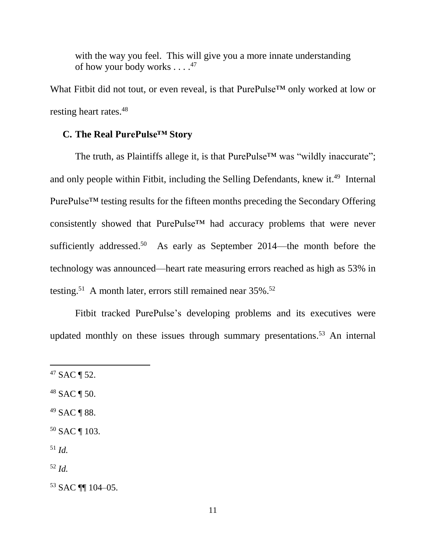with the way you feel. This will give you a more innate understanding of how your body works . . . .<sup>47</sup>

What Fitbit did not tout, or even reveal, is that PurePulse<sup>™</sup> only worked at low or resting heart rates.<sup>48</sup>

## **C. The Real PurePulse™ Story**

The truth, as Plaintiffs allege it, is that PurePulse<sup>™</sup> was "wildly inaccurate"; and only people within Fitbit, including the Selling Defendants, knew it.<sup>49</sup> Internal PurePulse™ testing results for the fifteen months preceding the Secondary Offering consistently showed that PurePulse™ had accuracy problems that were never sufficiently addressed.<sup>50</sup> As early as September 2014—the month before the technology was announced—heart rate measuring errors reached as high as 53% in testing.<sup>51</sup> A month later, errors still remained near  $35\%$ .<sup>52</sup>

Fitbit tracked PurePulse's developing problems and its executives were updated monthly on these issues through summary presentations. <sup>53</sup> An internal

- <sup>48</sup> SAC ¶ 50.
- <sup>49</sup> SAC ¶ 88.
- <sup>50</sup> SAC ¶ 103.
- <sup>51</sup> *Id.*

 $\overline{a}$ 

<sup>52</sup> *Id.*

<sup>53</sup> SAC ¶¶ 104–05.

 $47$  SAC ¶ 52.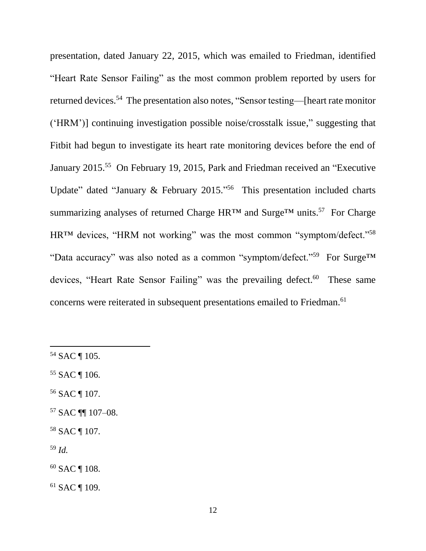presentation, dated January 22, 2015, which was emailed to Friedman, identified "Heart Rate Sensor Failing" as the most common problem reported by users for returned devices.<sup>54</sup> The presentation also notes, "Sensor testing—[heart rate monitor ('HRM')] continuing investigation possible noise/crosstalk issue," suggesting that Fitbit had begun to investigate its heart rate monitoring devices before the end of January 2015.<sup>55</sup> On February 19, 2015, Park and Friedman received an "Executive" Update" dated "January & February 2015."<sup>56</sup> This presentation included charts summarizing analyses of returned Charge HR<sup>™</sup> and Surge<sup>™</sup> units.<sup>57</sup> For Charge HR<sup>™</sup> devices, "HRM not working" was the most common "symptom/defect."<sup>58</sup> "Data accuracy" was also noted as a common "symptom/defect."<sup>59</sup> For Surge<sup>TM</sup> devices, "Heart Rate Sensor Failing" was the prevailing defect.<sup>60</sup> These same concerns were reiterated in subsequent presentations emailed to Friedman. 61

<sup>54</sup> SAC ¶ 105.

- <sup>55</sup> SAC ¶ 106.
- <sup>56</sup> SAC ¶ 107.
- <sup>57</sup> SAC ¶¶ 107–08.
- <sup>58</sup> SAC ¶ 107.
- <sup>59</sup> *Id.*
- <sup>60</sup> SAC ¶ 108.
- <sup>61</sup> SAC ¶ 109.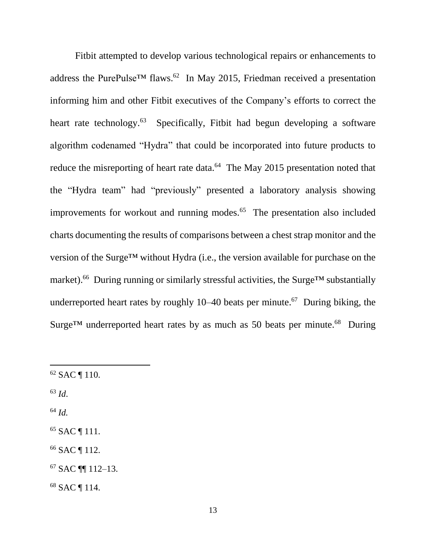Fitbit attempted to develop various technological repairs or enhancements to address the PurePulse<sup>TM</sup> flaws.<sup>62</sup> In May 2015, Friedman received a presentation informing him and other Fitbit executives of the Company's efforts to correct the heart rate technology.<sup>63</sup> Specifically, Fitbit had begun developing a software algorithm codenamed "Hydra" that could be incorporated into future products to reduce the misreporting of heart rate data.<sup>64</sup> The May 2015 presentation noted that the "Hydra team" had "previously" presented a laboratory analysis showing improvements for workout and running modes.<sup>65</sup> The presentation also included charts documenting the results of comparisons between a chest strap monitor and the version of the Surge™ without Hydra (i.e., the version available for purchase on the market).<sup>66</sup> During running or similarly stressful activities, the Surge<sup>™</sup> substantially underreported heart rates by roughly 10–40 beats per minute.<sup>67</sup> During biking, the Surge<sup>TM</sup> underreported heart rates by as much as 50 beats per minute.<sup>68</sup> During

<sup>63</sup> *Id*.

 $\overline{a}$ 

<sup>64</sup> *Id.*

<sup>65</sup> SAC ¶ 111.

<sup>66</sup> SAC ¶ 112.

<sup>67</sup> SAC ¶¶ 112–13.

<sup>68</sup> SAC ¶ 114.

<sup>62</sup> SAC ¶ 110.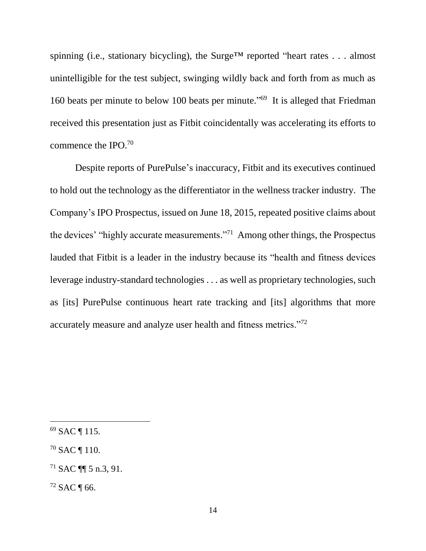spinning (i.e., stationary bicycling), the Surge<sup>™</sup> reported "heart rates . . . almost unintelligible for the test subject, swinging wildly back and forth from as much as 160 beats per minute to below 100 beats per minute." <sup>69</sup> It is alleged that Friedman received this presentation just as Fitbit coincidentally was accelerating its efforts to commence the IPO.<sup>70</sup>

Despite reports of PurePulse's inaccuracy, Fitbit and its executives continued to hold out the technology as the differentiator in the wellness tracker industry. The Company's IPO Prospectus, issued on June 18, 2015, repeated positive claims about the devices' "highly accurate measurements." <sup>71</sup> Among other things, the Prospectus lauded that Fitbit is a leader in the industry because its "health and fitness devices leverage industry-standard technologies . . . as well as proprietary technologies, such as [its] PurePulse continuous heart rate tracking and [its] algorithms that more accurately measure and analyze user health and fitness metrics."<sup>72</sup>

<sup>69</sup> SAC ¶ 115.

<sup>70</sup> SAC ¶ 110.

<sup>71</sup> SAC ¶¶ 5 n.3, 91.

 $72$  SAC ¶ 66.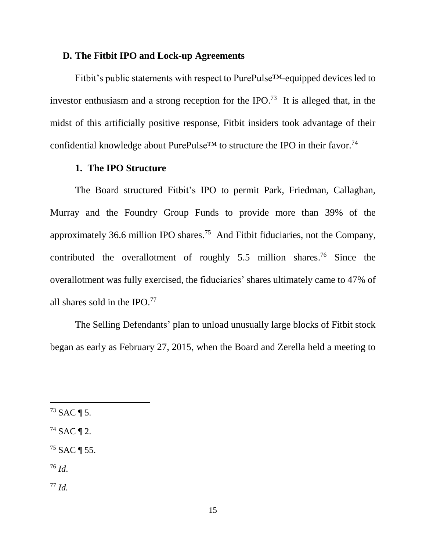## **D. The Fitbit IPO and Lock-up Agreements**

Fitbit's public statements with respect to PurePulse™-equipped devices led to investor enthusiasm and a strong reception for the IPO.<sup>73</sup> It is alleged that, in the midst of this artificially positive response, Fitbit insiders took advantage of their confidential knowledge about PurePulse<sup>TM</sup> to structure the IPO in their favor.<sup>74</sup>

### **1. The IPO Structure**

The Board structured Fitbit's IPO to permit Park, Friedman, Callaghan, Murray and the Foundry Group Funds to provide more than 39% of the approximately 36.6 million IPO shares.<sup>75</sup> And Fitbit fiduciaries, not the Company, contributed the overallotment of roughly  $5.5$  million shares.<sup>76</sup> Since the overallotment was fully exercised, the fiduciaries' shares ultimately came to 47% of all shares sold in the IPO.<sup>77</sup>

The Selling Defendants' plan to unload unusually large blocks of Fitbit stock began as early as February 27, 2015, when the Board and Zerella held a meeting to

 $^{73}$  SAC ¶ 5.

 $74$  SAC ¶ 2.

 $75$  SAC ¶ 55.

<sup>76</sup> *Id*.

<sup>77</sup> *Id.*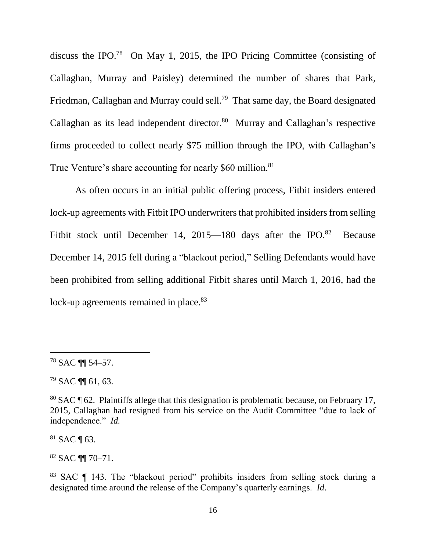discuss the IPO.<sup>78</sup> On May 1, 2015, the IPO Pricing Committee (consisting of Callaghan, Murray and Paisley) determined the number of shares that Park, Friedman, Callaghan and Murray could sell.<sup>79</sup> That same day, the Board designated Callaghan as its lead independent director.<sup>80</sup> Murray and Callaghan's respective firms proceeded to collect nearly \$75 million through the IPO, with Callaghan's True Venture's share accounting for nearly \$60 million.<sup>81</sup>

As often occurs in an initial public offering process, Fitbit insiders entered lock-up agreements with Fitbit IPO underwriters that prohibited insiders from selling Fitbit stock until December 14, 2015—180 days after the IPO.<sup>82</sup> **Because** December 14, 2015 fell during a "blackout period," Selling Defendants would have been prohibited from selling additional Fitbit shares until March 1, 2016, had the lock-up agreements remained in place.<sup>83</sup>

 $\overline{a}$ 

 $81$  SAC ¶ 63.

<sup>82</sup> SAC ¶¶ 70–71.

 $78$  SAC  $\P$  54-57.

<sup>79</sup> SAC ¶¶ 61, 63.

<sup>80</sup> SAC ¶ 62. Plaintiffs allege that this designation is problematic because, on February 17, 2015, Callaghan had resigned from his service on the Audit Committee "due to lack of independence." *Id.*

<sup>83</sup> SAC ¶ 143. The "blackout period" prohibits insiders from selling stock during a designated time around the release of the Company's quarterly earnings. *Id*.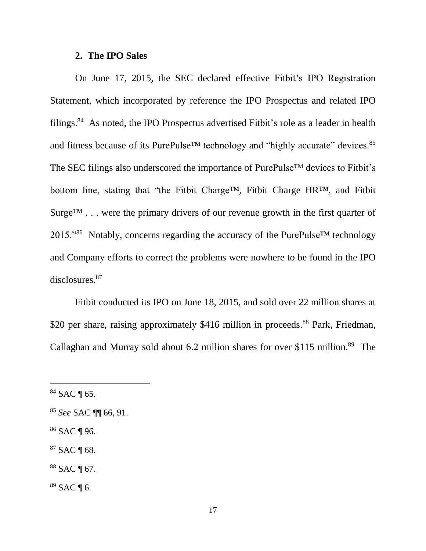#### **2. The IPO Sales**

On June 17, 2015, the SEC declared effective Fitbit's IPO Registration Statement, which incorporated by reference the IPO Prospectus and related IPO filings.<sup>84</sup> As noted, the IPO Prospectus advertised Fitbit's role as a leader in health and fitness because of its PurePulse<sup>™</sup> technology and "highly accurate" devices.<sup>85</sup> The SEC filings also underscored the importance of PurePulse™ devices to Fitbit's bottom line, stating that "the Fitbit Charge™, Fitbit Charge HR™, and Fitbit  $Surge<sup>TM</sup>$ ... were the primary drivers of our revenue growth in the first quarter of  $2015.^{86}$  Notably, concerns regarding the accuracy of the PurePulse<sup>TM</sup> technology and Company efforts to correct the problems were nowhere to be found in the IPO disclosures.<sup>87</sup>

Fitbit conducted its IPO on June 18, 2015, and sold over 22 million shares at \$20 per share, raising approximately \$416 million in proceeds.<sup>88</sup> Park, Friedman, Callaghan and Murray sold about 6.2 million shares for over \$115 million.<sup>89</sup> The

- <sup>86</sup> SAC ¶ 96.
- $87$  SAC ¶ 68.
- <sup>88</sup> SAC ¶ 67.
- $89$  SAC ¶ 6.

 $84$  SAC ¶ 65.

<sup>85</sup> *See* SAC ¶¶ 66, 91.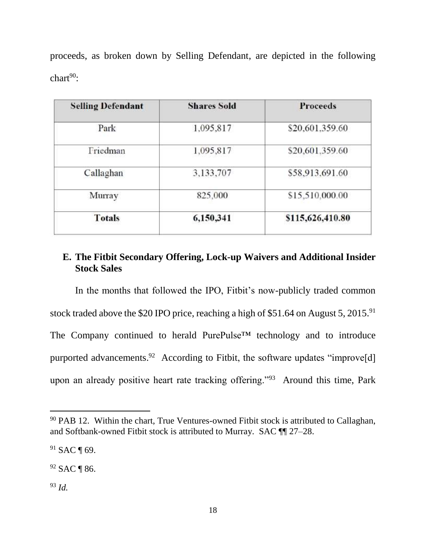proceeds, as broken down by Selling Defendant, are depicted in the following  $char<sup>90</sup>$ :

| <b>Selling Defendant</b> | <b>Shares Sold</b> | <b>Proceeds</b>  |
|--------------------------|--------------------|------------------|
| Park                     | 1,095,817          | \$20,601.359.60  |
| Friedman                 | 1,095,817          | \$20,601.359.60  |
| Callaghan                | 3,133,707          | \$58,913.691.60  |
| Murray                   | 825,000            | \$15,510,000.00  |
| Totals                   | 6,150,341          | \$115,626,410.80 |
|                          |                    |                  |

# **E. The Fitbit Secondary Offering, Lock-up Waivers and Additional Insider Stock Sales**

In the months that followed the IPO, Fitbit's now-publicly traded common stock traded above the \$20 IPO price, reaching a high of \$51.64 on August 5, 2015.<sup>91</sup> The Company continued to herald PurePulse™ technology and to introduce purported advancements.<sup>92</sup> According to Fitbit, the software updates "improve[d] upon an already positive heart rate tracking offering."<sup>93</sup> Around this time, Park

<sup>92</sup> SAC ¶ 86.

<sup>93</sup> *Id.*

<sup>90</sup> PAB 12. Within the chart, True Ventures-owned Fitbit stock is attributed to Callaghan, and Softbank-owned Fitbit stock is attributed to Murray. SAC ¶¶ 27–28.

<sup>91</sup> SAC ¶ 69.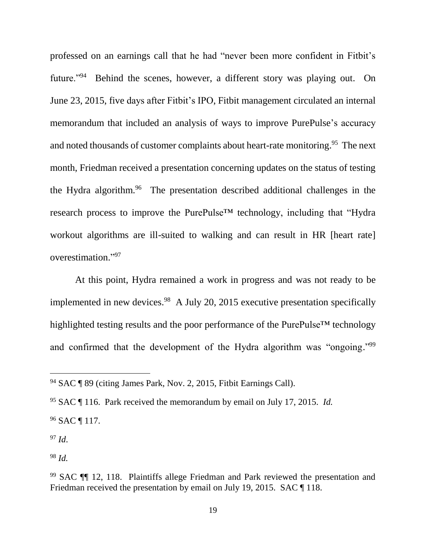professed on an earnings call that he had "never been more confident in Fitbit's future."<sup>94</sup> Behind the scenes, however, a different story was playing out. On June 23, 2015, five days after Fitbit's IPO, Fitbit management circulated an internal memorandum that included an analysis of ways to improve PurePulse's accuracy and noted thousands of customer complaints about heart-rate monitoring. 95 The next month, Friedman received a presentation concerning updates on the status of testing the Hydra algorithm.<sup>96</sup> The presentation described additional challenges in the research process to improve the PurePulse™ technology, including that "Hydra workout algorithms are ill-suited to walking and can result in HR [heart rate] overestimation." 97

At this point, Hydra remained a work in progress and was not ready to be implemented in new devices.<sup>98</sup> A July 20, 2015 executive presentation specifically highlighted testing results and the poor performance of the PurePulse™ technology and confirmed that the development of the Hydra algorithm was "ongoing."<sup>99</sup>

<sup>97</sup> *Id*.

 $\overline{a}$ 

<sup>98</sup> *Id.*

<sup>94</sup> SAC ¶ 89 (citing James Park, Nov. 2, 2015, Fitbit Earnings Call).

<sup>95</sup> SAC ¶ 116. Park received the memorandum by email on July 17, 2015. *Id.*

<sup>96</sup> SAC ¶ 117.

<sup>99</sup> SAC ¶¶ 12, 118. Plaintiffs allege Friedman and Park reviewed the presentation and Friedman received the presentation by email on July 19, 2015. SAC ¶ 118.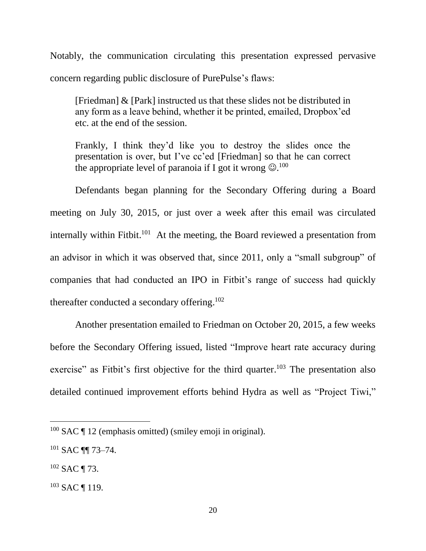Notably, the communication circulating this presentation expressed pervasive concern regarding public disclosure of PurePulse's flaws:

[Friedman] & [Park] instructed us that these slides not be distributed in any form as a leave behind, whether it be printed, emailed, Dropbox'ed etc. at the end of the session.

Frankly, I think they'd like you to destroy the slides once the presentation is over, but I've cc'ed [Friedman] so that he can correct the appropriate level of paranoia if I got it wrong  $\circledcirc$ .<sup>100</sup>

Defendants began planning for the Secondary Offering during a Board meeting on July 30, 2015, or just over a week after this email was circulated internally within Fitbit.<sup>101</sup> At the meeting, the Board reviewed a presentation from an advisor in which it was observed that, since 2011, only a "small subgroup" of companies that had conducted an IPO in Fitbit's range of success had quickly thereafter conducted a secondary offering.<sup>102</sup>

Another presentation emailed to Friedman on October 20, 2015, a few weeks before the Secondary Offering issued, listed "Improve heart rate accuracy during exercise" as Fitbit's first objective for the third quarter.<sup>103</sup> The presentation also detailed continued improvement efforts behind Hydra as well as "Project Tiwi,"

 $100$  SAC  $\P$  12 (emphasis omitted) (smiley emoji in original).

<sup>101</sup> SAC ¶¶ 73–74.

 $102$  SAC ¶ 73.

<sup>103</sup> SAC ¶ 119.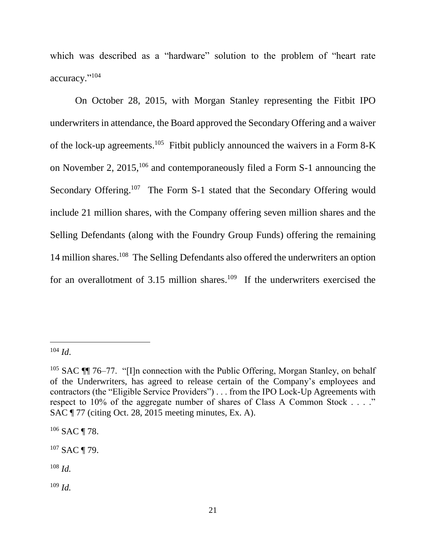which was described as a "hardware" solution to the problem of "heart rate accuracy." 104

On October 28, 2015, with Morgan Stanley representing the Fitbit IPO underwriters in attendance, the Board approved the Secondary Offering and a waiver of the lock-up agreements.<sup>105</sup> Fitbit publicly announced the waivers in a Form 8-K on November 2, 2015,<sup>106</sup> and contemporaneously filed a Form S-1 announcing the Secondary Offering.<sup>107</sup> The Form S-1 stated that the Secondary Offering would include 21 million shares, with the Company offering seven million shares and the Selling Defendants (along with the Foundry Group Funds) offering the remaining 14 million shares. <sup>108</sup> The Selling Defendants also offered the underwriters an option for an overallotment of 3.15 million shares.<sup>109</sup> If the underwriters exercised the

 $104$  *Id.* 

<sup>105</sup> SAC ¶¶ 76–77. "[I]n connection with the Public Offering, Morgan Stanley, on behalf of the Underwriters, has agreed to release certain of the Company's employees and contractors (the "Eligible Service Providers") . . . from the IPO Lock-Up Agreements with respect to 10% of the aggregate number of shares of Class A Common Stock . . . ." SAC ¶ 77 (citing Oct. 28, 2015 meeting minutes, Ex. A).

<sup>&</sup>lt;sup>106</sup> SAC ¶ 78.

 $107$  SAC ¶ 79.

<sup>108</sup> *Id.*

<sup>109</sup> *Id.*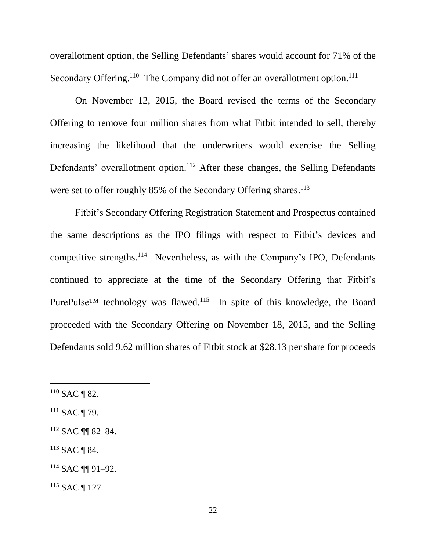overallotment option, the Selling Defendants' shares would account for 71% of the Secondary Offering.<sup>110</sup> The Company did not offer an overallotment option.<sup>111</sup>

On November 12, 2015, the Board revised the terms of the Secondary Offering to remove four million shares from what Fitbit intended to sell, thereby increasing the likelihood that the underwriters would exercise the Selling Defendants' overallotment option.<sup>112</sup> After these changes, the Selling Defendants were set to offer roughly 85% of the Secondary Offering shares.<sup>113</sup>

Fitbit's Secondary Offering Registration Statement and Prospectus contained the same descriptions as the IPO filings with respect to Fitbit's devices and competitive strengths.<sup>114</sup> Nevertheless, as with the Company's IPO, Defendants continued to appreciate at the time of the Secondary Offering that Fitbit's PurePulse<sup>TM</sup> technology was flawed.<sup>115</sup> In spite of this knowledge, the Board proceeded with the Secondary Offering on November 18, 2015, and the Selling Defendants sold 9.62 million shares of Fitbit stock at \$28.13 per share for proceeds

l

<sup>113</sup> SAC ¶ 84.

 $110$  SAC ¶ 82.

 $111$  SAC ¶ 79.

<sup>112</sup> SAC ¶¶ 82–84.

<sup>114</sup> SAC ¶¶ 91–92.

<sup>115</sup> SAC ¶ 127.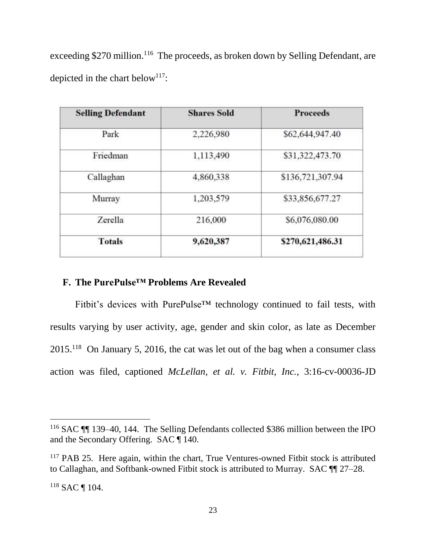exceeding \$270 million.<sup>116</sup> The proceeds, as broken down by Selling Defendant, are depicted in the chart below<sup>117</sup>:

| 2,226,980 |                  |
|-----------|------------------|
|           | \$62,644,947.40  |
| 1,113,490 | \$31,322,473.70  |
| 4,860,338 | \$136,721,307.94 |
| 1,203,579 | \$33,856,677.27  |
| 216,000   | \$6,076,080.00   |
| 9,620,387 | \$270,621,486.31 |
|           |                  |

## **F. The PurePulse™ Problems Are Revealed**

Fitbit's devices with PurePulse™ technology continued to fail tests, with results varying by user activity, age, gender and skin color, as late as December  $2015<sup>118</sup>$  On January 5, 2016, the cat was let out of the bag when a consumer class action was filed, captioned *McLellan, et al. v. Fitbit, Inc.*, 3:16-cv-00036-JD

<sup>116</sup> SAC ¶¶ 139–40, 144. The Selling Defendants collected \$386 million between the IPO and the Secondary Offering. SAC ¶ 140.

<sup>&</sup>lt;sup>117</sup> PAB 25. Here again, within the chart, True Ventures-owned Fitbit stock is attributed to Callaghan, and Softbank-owned Fitbit stock is attributed to Murray. SAC ¶¶ 27–28.

<sup>118</sup> SAC ¶ 104.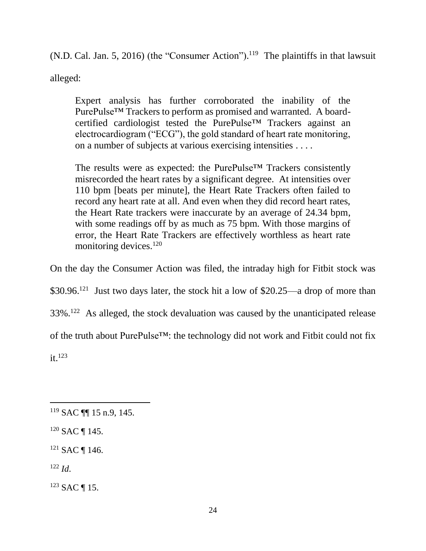(N.D. Cal. Jan. 5, 2016) (the "Consumer Action").<sup>119</sup> The plaintiffs in that lawsuit alleged:

Expert analysis has further corroborated the inability of the PurePulse™ Trackers to perform as promised and warranted. A boardcertified cardiologist tested the PurePulse™ Trackers against an electrocardiogram ("ECG"), the gold standard of heart rate monitoring, on a number of subjects at various exercising intensities . . . .

The results were as expected: the PurePulse™ Trackers consistently misrecorded the heart rates by a significant degree. At intensities over 110 bpm [beats per minute], the Heart Rate Trackers often failed to record any heart rate at all. And even when they did record heart rates, the Heart Rate trackers were inaccurate by an average of 24.34 bpm, with some readings off by as much as 75 bpm. With those margins of error, the Heart Rate Trackers are effectively worthless as heart rate monitoring devices.<sup>120</sup>

On the day the Consumer Action was filed, the intraday high for Fitbit stock was

 $$30.96<sup>121</sup>$  Just two days later, the stock hit a low of \$20.25—a drop of more than

 $33\%$ .<sup>122</sup> As alleged, the stock devaluation was caused by the unanticipated release

of the truth about PurePulse™: the technology did not work and Fitbit could not fix

 $it^{123}$ 

 $120$  SAC ¶ 145.

<sup>121</sup> SAC ¶ 146.

 $122 \, Id$ 

<sup>123</sup> SAC ¶ 15.

l  $119$  SAC ¶ 15 n.9, 145.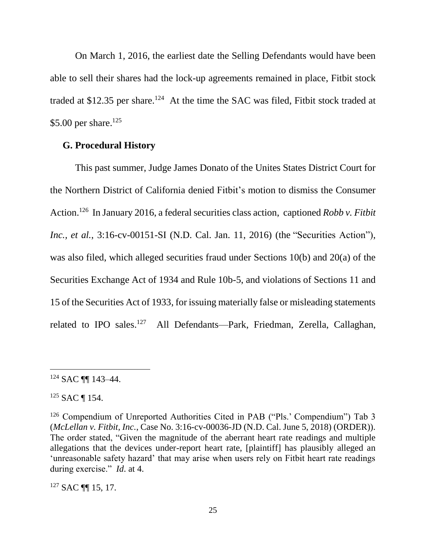On March 1, 2016, the earliest date the Selling Defendants would have been able to sell their shares had the lock-up agreements remained in place, Fitbit stock traded at \$12.35 per share.<sup>124</sup> At the time the SAC was filed, Fitbit stock traded at \$5.00 per share.<sup>125</sup>

### **G. Procedural History**

This past summer, Judge James Donato of the Unites States District Court for the Northern District of California denied Fitbit's motion to dismiss the Consumer Action. 126 In January 2016, a federal securities class action, captioned *Robb v. Fitbit Inc., et al.*, 3:16-cv-00151-SI (N.D. Cal. Jan. 11, 2016) (the "Securities Action"), was also filed, which alleged securities fraud under Sections 10(b) and 20(a) of the Securities Exchange Act of 1934 and Rule 10b-5, and violations of Sections 11 and 15 of the Securities Act of 1933, for issuing materially false or misleading statements related to IPO sales.<sup>127</sup> All Defendants—Park, Friedman, Zerella, Callaghan,

 $\overline{a}$ 

 $127$  SAC  $\P\P$  15, 17.

<sup>124</sup> SAC ¶¶ 143–44.

<sup>125</sup> SAC ¶ 154.

<sup>&</sup>lt;sup>126</sup> Compendium of Unreported Authorities Cited in PAB ("Pls.' Compendium") Tab 3 (*McLellan v. Fitbit, Inc.*, Case No. 3:16-cv-00036-JD (N.D. Cal. June 5, 2018) (ORDER)). The order stated, "Given the magnitude of the aberrant heart rate readings and multiple allegations that the devices under-report heart rate, [plaintiff] has plausibly alleged an 'unreasonable safety hazard' that may arise when users rely on Fitbit heart rate readings during exercise." *Id*. at 4.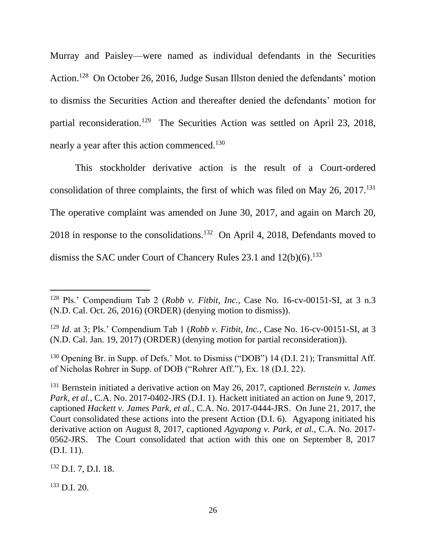Murray and Paisley—were named as individual defendants in the Securities Action.<sup>128</sup> On October 26, 2016, Judge Susan Illston denied the defendants' motion to dismiss the Securities Action and thereafter denied the defendants' motion for partial reconsideration.<sup>129</sup> The Securities Action was settled on April 23, 2018, nearly a year after this action commenced.<sup>130</sup>

This stockholder derivative action is the result of a Court-ordered consolidation of three complaints, the first of which was filed on May  $26$ ,  $2017$ .<sup>131</sup> The operative complaint was amended on June 30, 2017, and again on March 20, 2018 in response to the consolidations.<sup>132</sup> On April 4, 2018, Defendants moved to dismiss the SAC under Court of Chancery Rules 23.1 and 12(b)(6).<sup>133</sup>

<sup>130</sup> Opening Br. in Supp. of Defs.' Mot. to Dismiss ("DOB") 14 (D.I. 21); Transmittal Aff. of Nicholas Rohrer in Supp. of DOB ("Rohrer Aff."), Ex. 18 (D.I. 22).

<sup>131</sup> Bernstein initiated a derivative action on May 26, 2017, captioned *Bernstein v. James Park, et al.*, C.A. No. 2017-0402-JRS (D.I. 1). Hackett initiated an action on June 9, 2017, captioned *Hackett v. James Park, et al.*, C.A. No. 2017-0444-JRS. On June 21, 2017, the Court consolidated these actions into the present Action (D.I. 6). Agyapong initiated his derivative action on August 8, 2017, captioned *Agyapong v. Park, et al.*, C.A. No. 2017- 0562-JRS. The Court consolidated that action with this one on September 8, 2017 (D.I. 11).

<sup>132</sup> D.I. 7, D.I. 18.

 $133$  D.I. 20.

<sup>128</sup> Pls.' Compendium Tab 2 (*Robb v. Fitbit, Inc.*, Case No. 16-cv-00151-SI, at 3 n.3 (N.D. Cal. Oct. 26, 2016) (ORDER) (denying motion to dismiss)).

<sup>129</sup> *Id*. at 3; Pls.' Compendium Tab 1 (*Robb v. Fitbit, Inc.*, Case No. 16-cv-00151-SI, at 3 (N.D. Cal. Jan. 19, 2017) (ORDER) (denying motion for partial reconsideration)).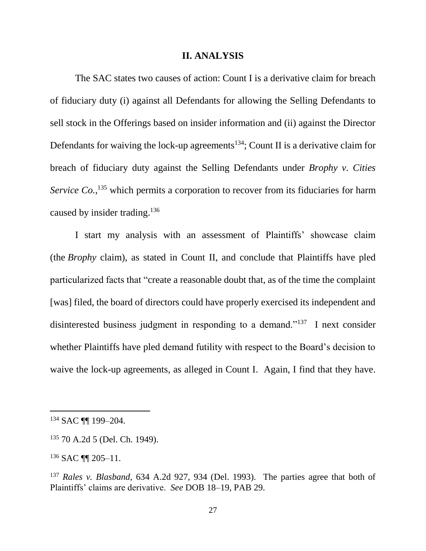#### **II. ANALYSIS**

The SAC states two causes of action: Count I is a derivative claim for breach of fiduciary duty (i) against all Defendants for allowing the Selling Defendants to sell stock in the Offerings based on insider information and (ii) against the Director Defendants for waiving the lock-up agreements<sup>134</sup>; Count II is a derivative claim for breach of fiduciary duty against the Selling Defendants under *Brophy v. Cities*  Service Co.,<sup>135</sup> which permits a corporation to recover from its fiduciaries for harm caused by insider trading.<sup>136</sup>

I start my analysis with an assessment of Plaintiffs' showcase claim (the *Brophy* claim), as stated in Count II, and conclude that Plaintiffs have pled particularized facts that "create a reasonable doubt that, as of the time the complaint [was] filed, the board of directors could have properly exercised its independent and disinterested business judgment in responding to a demand."<sup>137</sup> I next consider whether Plaintiffs have pled demand futility with respect to the Board's decision to waive the lock-up agreements, as alleged in Count I. Again, I find that they have.

<sup>134</sup> SAC ¶¶ 199–204.

<sup>135</sup> 70 A.2d 5 (Del. Ch. 1949).

<sup>136</sup> SAC ¶¶ 205–11.

<sup>137</sup> *Rales v. Blasband*, 634 A.2d 927, 934 (Del. 1993). The parties agree that both of Plaintiffs' claims are derivative. *See* DOB 18–19, PAB 29.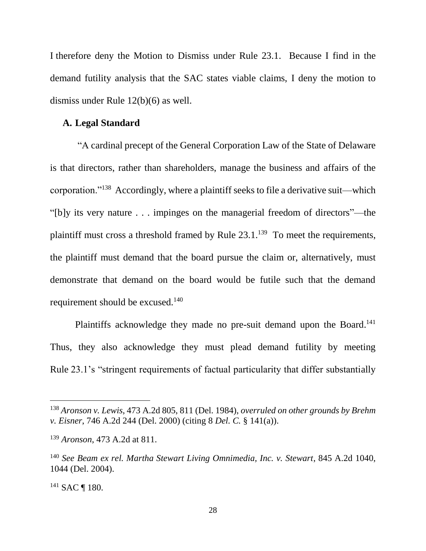I therefore deny the Motion to Dismiss under Rule 23.1. Because I find in the demand futility analysis that the SAC states viable claims, I deny the motion to dismiss under Rule 12(b)(6) as well.

## **A. Legal Standard**

"A cardinal precept of the General Corporation Law of the State of Delaware is that directors, rather than shareholders, manage the business and affairs of the corporation."<sup>138</sup> Accordingly, where a plaintiff seeks to file a derivative suit—which "[b]y its very nature . . . impinges on the managerial freedom of directors"—the plaintiff must cross a threshold framed by Rule  $23.1^{139}$  To meet the requirements, the plaintiff must demand that the board pursue the claim or, alternatively, must demonstrate that demand on the board would be futile such that the demand requirement should be excused.<sup>140</sup>

Plaintiffs acknowledge they made no pre-suit demand upon the Board.<sup>141</sup> Thus, they also acknowledge they must plead demand futility by meeting Rule 23.1's "stringent requirements of factual particularity that differ substantially

<sup>138</sup> *Aronson v. Lewis*, 473 A.2d 805, 811 (Del. 1984), *overruled on other grounds by Brehm v. Eisner*, 746 A.2d 244 (Del. 2000) (citing 8 *Del. C.* § 141(a)).

<sup>139</sup> *Aronson*, 473 A.2d at 811.

<sup>140</sup> *See Beam ex rel. Martha Stewart Living Omnimedia, Inc. v. Stewart*, 845 A.2d 1040, 1044 (Del. 2004).

<sup>141</sup> SAC ¶ 180.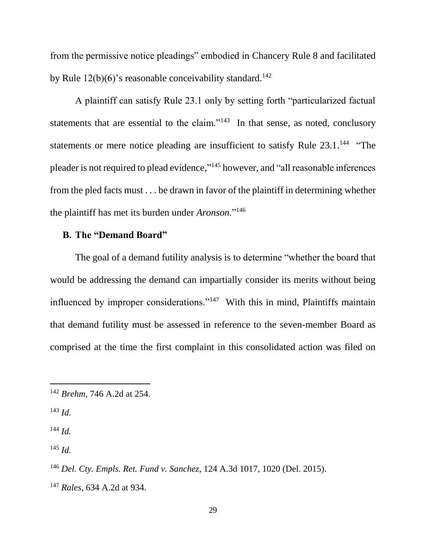from the permissive notice pleadings" embodied in Chancery Rule 8 and facilitated by Rule  $12(b)(6)$ 's reasonable conceivability standard.<sup>142</sup>

A plaintiff can satisfy Rule 23.1 only by setting forth "particularized factual statements that are essential to the claim."<sup>143</sup> In that sense, as noted, conclusory statements or mere notice pleading are insufficient to satisfy Rule 23.1.<sup>144</sup> "The pleader is not required to plead evidence," <sup>145</sup> however, and "all reasonable inferences from the pled facts must . . . be drawn in favor of the plaintiff in determining whether the plaintiff has met its burden under *Aronson.*" 146

# **B. The "Demand Board"**

The goal of a demand futility analysis is to determine "whether the board that would be addressing the demand can impartially consider its merits without being influenced by improper considerations."<sup>147</sup> With this in mind, Plaintiffs maintain that demand futility must be assessed in reference to the seven-member Board as comprised at the time the first complaint in this consolidated action was filed on

<sup>143</sup> *Id.*

l

<sup>144</sup> *Id.*

<sup>145</sup> *Id.*

<sup>142</sup> *Brehm*, 746 A.2d at 254.

<sup>146</sup> *Del. Cty. Empls. Ret. Fund v. Sanchez*, 124 A.3d 1017, 1020 (Del. 2015). <sup>147</sup> *Rales*, 634 A.2d at 934.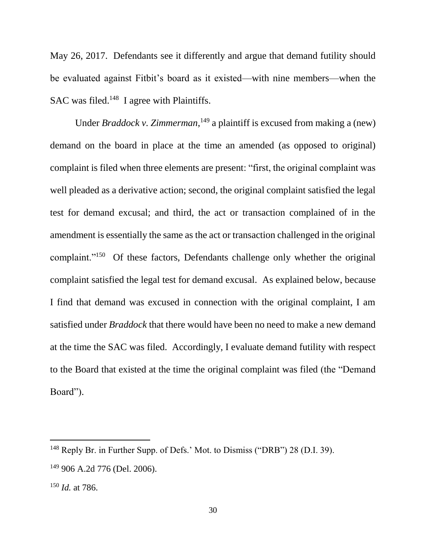May 26, 2017. Defendants see it differently and argue that demand futility should be evaluated against Fitbit's board as it existed—with nine members—when the SAC was filed. $148$  I agree with Plaintiffs.

Under *Braddock v. Zimmerman*,<sup>149</sup> a plaintiff is excused from making a (new) demand on the board in place at the time an amended (as opposed to original) complaint is filed when three elements are present: "first, the original complaint was well pleaded as a derivative action; second, the original complaint satisfied the legal test for demand excusal; and third, the act or transaction complained of in the amendment is essentially the same as the act or transaction challenged in the original complaint."<sup>150</sup> Of these factors, Defendants challenge only whether the original complaint satisfied the legal test for demand excusal. As explained below, because I find that demand was excused in connection with the original complaint, I am satisfied under *Braddock* that there would have been no need to make a new demand at the time the SAC was filed. Accordingly, I evaluate demand futility with respect to the Board that existed at the time the original complaint was filed (the "Demand Board").

<sup>148</sup> Reply Br. in Further Supp. of Defs.' Mot. to Dismiss ("DRB") 28 (D.I. 39).

<sup>149</sup> 906 A.2d 776 (Del. 2006).

<sup>150</sup> *Id.* at 786.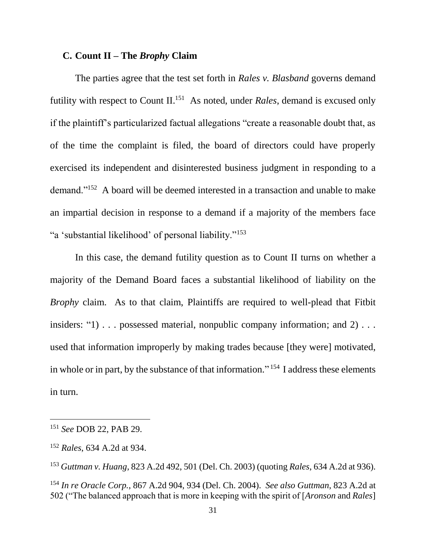# **C. Count II – The** *Brophy* **Claim**

The parties agree that the test set forth in *Rales v. Blasband* governs demand futility with respect to Count II. <sup>151</sup> As noted, under *Rales*, demand is excused only if the plaintiff's particularized factual allegations "create a reasonable doubt that, as of the time the complaint is filed, the board of directors could have properly exercised its independent and disinterested business judgment in responding to a demand."<sup>152</sup> A board will be deemed interested in a transaction and unable to make an impartial decision in response to a demand if a majority of the members face "a 'substantial likelihood' of personal liability."<sup>153</sup>

In this case, the demand futility question as to Count II turns on whether a majority of the Demand Board faces a substantial likelihood of liability on the *Brophy* claim. As to that claim, Plaintiffs are required to well-plead that Fitbit insiders: "1) . . . possessed material, nonpublic company information; and 2) . . . used that information improperly by making trades because [they were] motivated, in whole or in part, by the substance of that information."<sup>154</sup> I address these elements in turn.

<sup>151</sup> *See* DOB 22, PAB 29.

<sup>152</sup> *Rales*, 634 A.2d at 934.

<sup>153</sup> *Guttman v. Huang*, 823 A.2d 492, 501 (Del. Ch. 2003) (quoting *Rales*, 634 A.2d at 936).

<sup>154</sup> *In re Oracle Corp.*, 867 A.2d 904, 934 (Del. Ch. 2004). *See also Guttman*, 823 A.2d at 502 ("The balanced approach that is more in keeping with the spirit of [*Aronson* and *Rales*]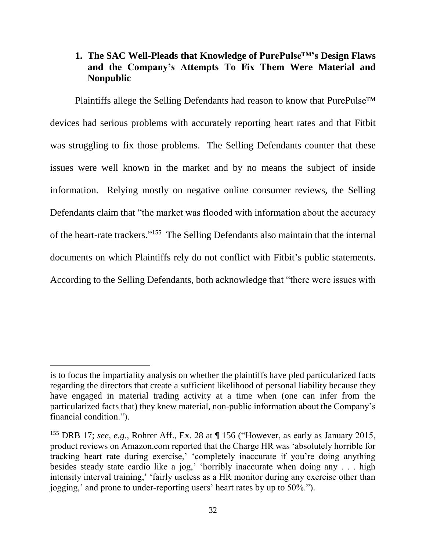# **1. The SAC Well-Pleads that Knowledge of PurePulse™'s Design Flaws and the Company's Attempts To Fix Them Were Material and Nonpublic**

Plaintiffs allege the Selling Defendants had reason to know that PurePulse<sup>™</sup> devices had serious problems with accurately reporting heart rates and that Fitbit was struggling to fix those problems. The Selling Defendants counter that these issues were well known in the market and by no means the subject of inside information. Relying mostly on negative online consumer reviews, the Selling Defendants claim that "the market was flooded with information about the accuracy of the heart-rate trackers."<sup>155</sup> The Selling Defendants also maintain that the internal documents on which Plaintiffs rely do not conflict with Fitbit's public statements. According to the Selling Defendants, both acknowledge that "there were issues with

is to focus the impartiality analysis on whether the plaintiffs have pled particularized facts regarding the directors that create a sufficient likelihood of personal liability because they have engaged in material trading activity at a time when (one can infer from the particularized facts that) they knew material, non-public information about the Company's financial condition.").

<sup>&</sup>lt;sup>155</sup> DRB 17; *see, e.g.*, Rohrer Aff., Ex. 28 at  $\P$  156 ("However, as early as January 2015, product reviews on Amazon.com reported that the Charge HR was 'absolutely horrible for tracking heart rate during exercise,' 'completely inaccurate if you're doing anything besides steady state cardio like a jog,' 'horribly inaccurate when doing any . . . high intensity interval training,' 'fairly useless as a HR monitor during any exercise other than jogging,' and prone to under-reporting users' heart rates by up to 50%.").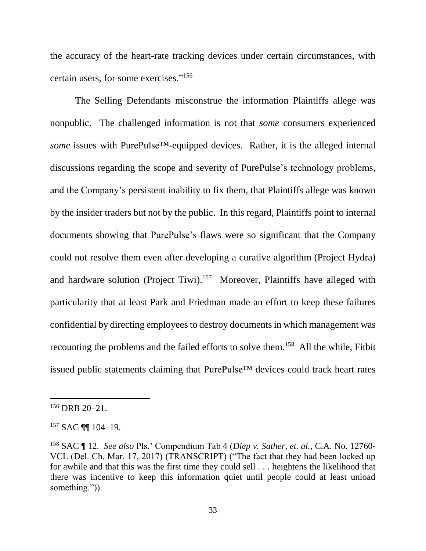the accuracy of the heart-rate tracking devices under certain circumstances, with certain users, for some exercises." 156

The Selling Defendants misconstrue the information Plaintiffs allege was nonpublic. The challenged information is not that *some* consumers experienced *some* issues with PurePulse™-equipped devices. Rather, it is the alleged internal discussions regarding the scope and severity of PurePulse's technology problems, and the Company's persistent inability to fix them, that Plaintiffs allege was known by the insider traders but not by the public. In this regard, Plaintiffs point to internal documents showing that PurePulse's flaws were so significant that the Company could not resolve them even after developing a curative algorithm (Project Hydra) and hardware solution (Project Tiwi).<sup>157</sup> Moreover, Plaintiffs have alleged with particularity that at least Park and Friedman made an effort to keep these failures confidential by directing employees to destroy documents in which management was recounting the problems and the failed efforts to solve them.<sup>158</sup> All the while, Fitbit issued public statements claiming that PurePulse™ devices could track heart rates

<sup>156</sup> DRB 20–21.

<sup>157</sup> SAC ¶¶ 104–19.

<sup>158</sup> SAC ¶ 12. *See also* Pls.' Compendium Tab 4 (*Diep v. Sather, et. al.*, C.A. No. 12760- VCL (Del. Ch. Mar. 17, 2017) (TRANSCRIPT) ("The fact that they had been locked up for awhile and that this was the first time they could sell . . . heightens the likelihood that there was incentive to keep this information quiet until people could at least unload something.")).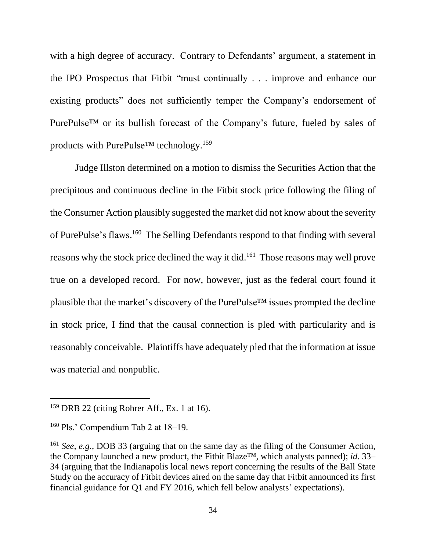with a high degree of accuracy. Contrary to Defendants' argument, a statement in the IPO Prospectus that Fitbit "must continually . . . improve and enhance our existing products" does not sufficiently temper the Company's endorsement of PurePulse™ or its bullish forecast of the Company's future, fueled by sales of products with PurePulse™ technology.<sup>159</sup>

Judge Illston determined on a motion to dismiss the Securities Action that the precipitous and continuous decline in the Fitbit stock price following the filing of the Consumer Action plausibly suggested the market did not know about the severity of PurePulse's flaws.<sup>160</sup> The Selling Defendants respond to that finding with several reasons why the stock price declined the way it did.<sup>161</sup> Those reasons may well prove true on a developed record. For now, however, just as the federal court found it plausible that the market's discovery of the PurePulse™ issues prompted the decline in stock price, I find that the causal connection is pled with particularity and is reasonably conceivable. Plaintiffs have adequately pled that the information at issue was material and nonpublic.

 $159$  DRB 22 (citing Rohrer Aff., Ex. 1 at 16).

<sup>160</sup> Pls.' Compendium Tab 2 at 18–19.

<sup>161</sup> *See, e.g.*, DOB 33 (arguing that on the same day as the filing of the Consumer Action, the Company launched a new product, the Fitbit Blaze™, which analysts panned); *id*. 33– 34 (arguing that the Indianapolis local news report concerning the results of the Ball State Study on the accuracy of Fitbit devices aired on the same day that Fitbit announced its first financial guidance for Q1 and FY 2016, which fell below analysts' expectations).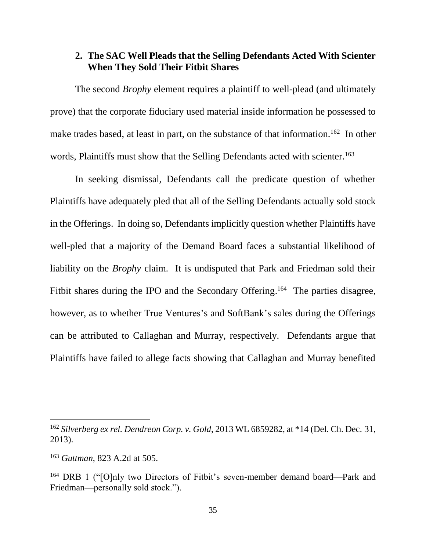# **2. The SAC Well Pleads that the Selling Defendants Acted With Scienter When They Sold Their Fitbit Shares**

The second *Brophy* element requires a plaintiff to well-plead (and ultimately prove) that the corporate fiduciary used material inside information he possessed to make trades based, at least in part, on the substance of that information.<sup>162</sup> In other words, Plaintiffs must show that the Selling Defendants acted with scienter.<sup>163</sup>

In seeking dismissal, Defendants call the predicate question of whether Plaintiffs have adequately pled that all of the Selling Defendants actually sold stock in the Offerings. In doing so, Defendants implicitly question whether Plaintiffs have well-pled that a majority of the Demand Board faces a substantial likelihood of liability on the *Brophy* claim. It is undisputed that Park and Friedman sold their Fitbit shares during the IPO and the Secondary Offering.<sup>164</sup> The parties disagree, however, as to whether True Ventures's and SoftBank's sales during the Offerings can be attributed to Callaghan and Murray, respectively. Defendants argue that Plaintiffs have failed to allege facts showing that Callaghan and Murray benefited

<sup>162</sup> *Silverberg ex rel. Dendreon Corp. v. Gold*, 2013 WL 6859282, at \*14 (Del. Ch. Dec. 31, 2013).

<sup>163</sup> *Guttman*, 823 A.2d at 505.

<sup>164</sup> DRB 1 ("[O]nly two Directors of Fitbit's seven-member demand board—Park and Friedman—personally sold stock.").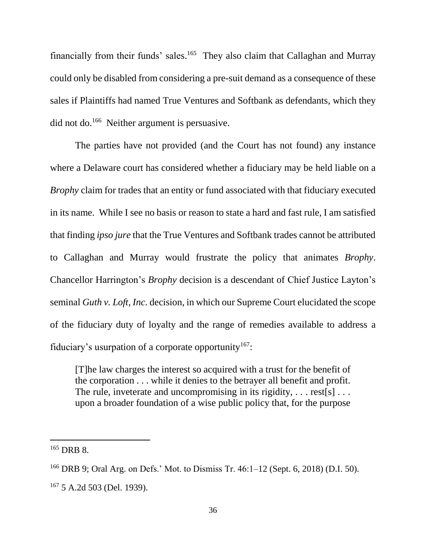financially from their funds' sales.<sup>165</sup> They also claim that Callaghan and Murray could only be disabled from considering a pre-suit demand as a consequence of these sales if Plaintiffs had named True Ventures and Softbank as defendants, which they did not do.<sup>166</sup> Neither argument is persuasive.

The parties have not provided (and the Court has not found) any instance where a Delaware court has considered whether a fiduciary may be held liable on a *Brophy* claim for trades that an entity or fund associated with that fiduciary executed in its name. While I see no basis or reason to state a hard and fast rule, I am satisfied that finding *ipso jure* that the True Ventures and Softbank trades cannot be attributed to Callaghan and Murray would frustrate the policy that animates *Brophy*. Chancellor Harrington's *Brophy* decision is a descendant of Chief Justice Layton's seminal *Guth v. Loft, Inc.* decision, in which our Supreme Court elucidated the scope of the fiduciary duty of loyalty and the range of remedies available to address a fiduciary's usurpation of a corporate opportunity<sup>167</sup>:

[T]he law charges the interest so acquired with a trust for the benefit of the corporation . . . while it denies to the betrayer all benefit and profit. The rule, inveterate and uncompromising in its rigidity,  $\dots$  rest[s]  $\dots$ upon a broader foundation of a wise public policy that, for the purpose

<sup>165</sup> DRB 8.

<sup>166</sup> DRB 9; Oral Arg. on Defs.' Mot. to Dismiss Tr. 46:1–12 (Sept. 6, 2018) (D.I. 50). <sup>167</sup> 5 A.2d 503 (Del. 1939).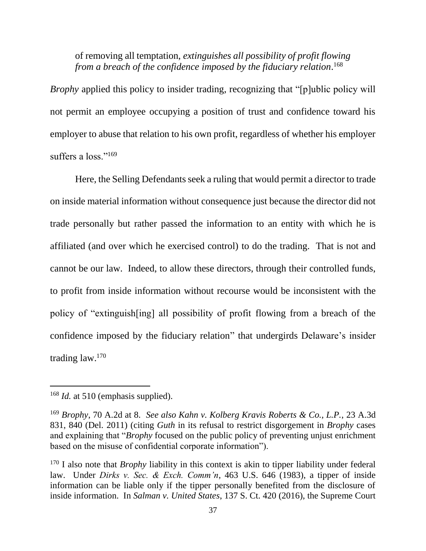of removing all temptation, *extinguishes all possibility of profit flowing from a breach of the confidence imposed by the fiduciary relation*. 168

*Brophy* applied this policy to insider trading, recognizing that "[p]ublic policy will not permit an employee occupying a position of trust and confidence toward his employer to abuse that relation to his own profit, regardless of whether his employer suffers a loss."<sup>169</sup>

Here, the Selling Defendants seek a ruling that would permit a director to trade on inside material information without consequence just because the director did not trade personally but rather passed the information to an entity with which he is affiliated (and over which he exercised control) to do the trading. That is not and cannot be our law. Indeed, to allow these directors, through their controlled funds, to profit from inside information without recourse would be inconsistent with the policy of "extinguish[ing] all possibility of profit flowing from a breach of the confidence imposed by the fiduciary relation" that undergirds Delaware's insider trading law. 170

<sup>&</sup>lt;sup>168</sup> *Id.* at 510 (emphasis supplied).

<sup>169</sup> *Brophy*, 70 A.2d at 8. *See also Kahn v. Kolberg Kravis Roberts & Co., L.P.*, 23 A.3d 831, 840 (Del. 2011) (citing *Guth* in its refusal to restrict disgorgement in *Brophy* cases and explaining that "*Brophy* focused on the public policy of preventing unjust enrichment based on the misuse of confidential corporate information").

<sup>&</sup>lt;sup>170</sup> I also note that *Brophy* liability in this context is akin to tipper liability under federal law. Under *Dirks v. Sec. & Exch. Comm'n*, 463 U.S. 646 (1983), a tipper of inside information can be liable only if the tipper personally benefited from the disclosure of inside information. In *Salman v. United States*, 137 S. Ct. 420 (2016), the Supreme Court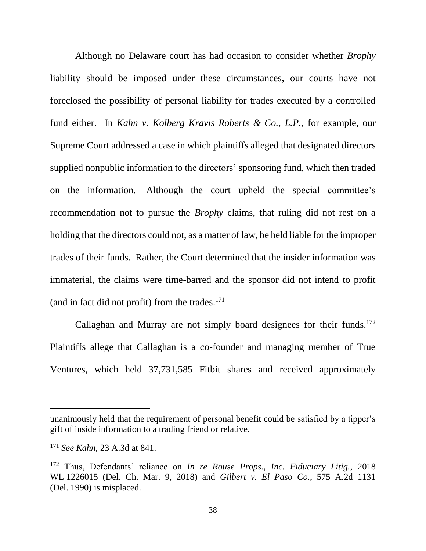Although no Delaware court has had occasion to consider whether *Brophy*  liability should be imposed under these circumstances, our courts have not foreclosed the possibility of personal liability for trades executed by a controlled fund either. In *Kahn v. Kolberg Kravis Roberts & Co., L.P.*, for example, our Supreme Court addressed a case in which plaintiffs alleged that designated directors supplied nonpublic information to the directors' sponsoring fund, which then traded on the information. Although the court upheld the special committee's recommendation not to pursue the *Brophy* claims, that ruling did not rest on a holding that the directors could not, as a matter of law, be held liable for the improper trades of their funds. Rather, the Court determined that the insider information was immaterial, the claims were time-barred and the sponsor did not intend to profit (and in fact did not profit) from the trades. 171

Callaghan and Murray are not simply board designees for their funds.<sup>172</sup> Plaintiffs allege that Callaghan is a co-founder and managing member of True Ventures, which held 37,731,585 Fitbit shares and received approximately

unanimously held that the requirement of personal benefit could be satisfied by a tipper's gift of inside information to a trading friend or relative.

<sup>171</sup> *See Kahn*, 23 A.3d at 841.

<sup>172</sup> Thus, Defendants' reliance on *In re Rouse Props., Inc. Fiduciary Litig.*, 2018 WL 1226015 (Del. Ch. Mar. 9, 2018) and *Gilbert v. El Paso Co.*, 575 A.2d 1131 (Del. 1990) is misplaced.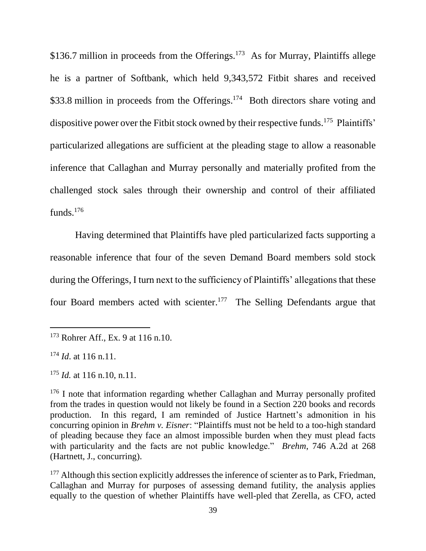\$136.7 million in proceeds from the Offerings.<sup>173</sup> As for Murray, Plaintiffs allege he is a partner of Softbank, which held 9,343,572 Fitbit shares and received \$33.8 million in proceeds from the Offerings.<sup>174</sup> Both directors share voting and dispositive power over the Fitbit stock owned by their respective funds.<sup>175</sup> Plaintiffs' particularized allegations are sufficient at the pleading stage to allow a reasonable inference that Callaghan and Murray personally and materially profited from the challenged stock sales through their ownership and control of their affiliated funds.<sup>176</sup>

Having determined that Plaintiffs have pled particularized facts supporting a reasonable inference that four of the seven Demand Board members sold stock during the Offerings, I turn next to the sufficiency of Plaintiffs' allegations that these four Board members acted with scienter.<sup>177</sup> The Selling Defendants argue that

<sup>173</sup> Rohrer Aff., Ex. 9 at 116 n.10.

<sup>174</sup> *Id*. at 116 n.11.

<sup>175</sup> *Id.* at 116 n.10, n.11.

<sup>&</sup>lt;sup>176</sup> I note that information regarding whether Callaghan and Murray personally profited from the trades in question would not likely be found in a Section 220 books and records production. In this regard, I am reminded of Justice Hartnett's admonition in his concurring opinion in *Brehm v. Eisner*: "Plaintiffs must not be held to a too-high standard of pleading because they face an almost impossible burden when they must plead facts with particularity and the facts are not public knowledge." *Brehm*, 746 A.2d at 268 (Hartnett, J., concurring).

<sup>&</sup>lt;sup>177</sup> Although this section explicitly addresses the inference of scienter as to Park, Friedman, Callaghan and Murray for purposes of assessing demand futility, the analysis applies equally to the question of whether Plaintiffs have well-pled that Zerella, as CFO, acted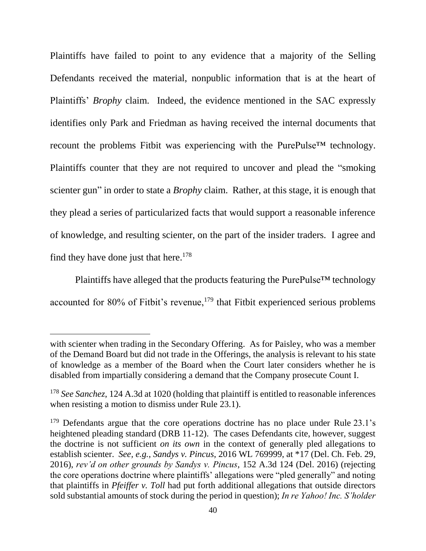Plaintiffs have failed to point to any evidence that a majority of the Selling Defendants received the material, nonpublic information that is at the heart of Plaintiffs' *Brophy* claim. Indeed, the evidence mentioned in the SAC expressly identifies only Park and Friedman as having received the internal documents that recount the problems Fitbit was experiencing with the PurePulse™ technology. Plaintiffs counter that they are not required to uncover and plead the "smoking scienter gun" in order to state a *Brophy* claim. Rather, at this stage, it is enough that they plead a series of particularized facts that would support a reasonable inference of knowledge, and resulting scienter, on the part of the insider traders. I agree and find they have done just that here.<sup>178</sup>

Plaintiffs have alleged that the products featuring the PurePulse™ technology accounted for 80% of Fitbit's revenue, $179$  that Fitbit experienced serious problems

with scienter when trading in the Secondary Offering. As for Paisley, who was a member of the Demand Board but did not trade in the Offerings, the analysis is relevant to his state of knowledge as a member of the Board when the Court later considers whether he is disabled from impartially considering a demand that the Company prosecute Count I.

<sup>&</sup>lt;sup>178</sup> See Sanchez, 124 A.3d at 1020 (holding that plaintiff is entitled to reasonable inferences when resisting a motion to dismiss under Rule 23.1).

<sup>&</sup>lt;sup>179</sup> Defendants argue that the core operations doctrine has no place under Rule 23.1's heightened pleading standard (DRB 11-12). The cases Defendants cite, however, suggest the doctrine is not sufficient *on its own* in the context of generally pled allegations to establish scienter. *See, e.g.*, *Sandys v. Pincus*, 2016 WL 769999, at \*17 (Del. Ch. Feb. 29, 2016), *rev'd on other grounds by Sandys v. Pincus*, 152 A.3d 124 (Del. 2016) (rejecting the core operations doctrine where plaintiffs' allegations were "pled generally" and noting that plaintiffs in *Pfeiffer v. Toll* had put forth additional allegations that outside directors sold substantial amounts of stock during the period in question); *In re Yahoo! Inc. S'holder*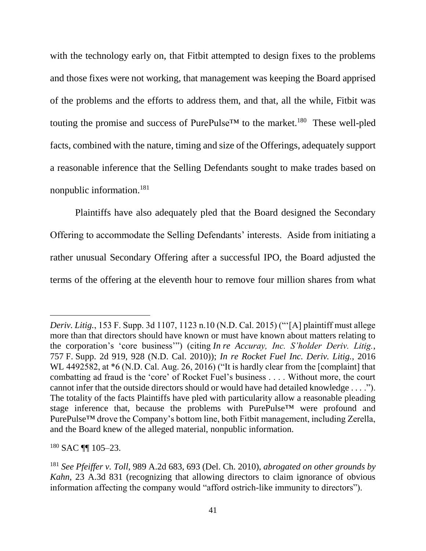with the technology early on, that Fitbit attempted to design fixes to the problems and those fixes were not working, that management was keeping the Board apprised of the problems and the efforts to address them, and that, all the while, Fitbit was touting the promise and success of PurePulse<sup>TM</sup> to the market.<sup>180</sup> These well-pled facts, combined with the nature, timing and size of the Offerings, adequately support a reasonable inference that the Selling Defendants sought to make trades based on nonpublic information.<sup>181</sup>

Plaintiffs have also adequately pled that the Board designed the Secondary Offering to accommodate the Selling Defendants' interests. Aside from initiating a rather unusual Secondary Offering after a successful IPO, the Board adjusted the terms of the offering at the eleventh hour to remove four million shares from what

 $180$  SAC III 105-23.

*Deriv. Litig.*, 153 F. Supp. 3d 1107, 1123 n.10 (N.D. Cal. 2015) ("'[A] plaintiff must allege more than that directors should have known or must have known about matters relating to the corporation's 'core business'") (citing *In re Accuray, Inc. S'holder Deriv. Litig.*, 757 F. Supp. 2d 919, 928 (N.D. Cal. 2010)); *In re Rocket Fuel Inc. Deriv. Litig.*, 2016 WL 4492582, at \*6 (N.D. Cal. Aug. 26, 2016) ("It is hardly clear from the [complaint] that combatting ad fraud is the 'core' of Rocket Fuel's business . . . . Without more, the court cannot infer that the outside directors should or would have had detailed knowledge . . . ."). The totality of the facts Plaintiffs have pled with particularity allow a reasonable pleading stage inference that, because the problems with PurePulse™ were profound and PurePulse<sup>™</sup> drove the Company's bottom line, both Fitbit management, including Zerella, and the Board knew of the alleged material, nonpublic information.

<sup>181</sup> *See Pfeiffer v. Toll*, 989 A.2d 683, 693 (Del. Ch. 2010), *abrogated on other grounds by Kahn*, 23 A.3d 831 (recognizing that allowing directors to claim ignorance of obvious information affecting the company would "afford ostrich-like immunity to directors").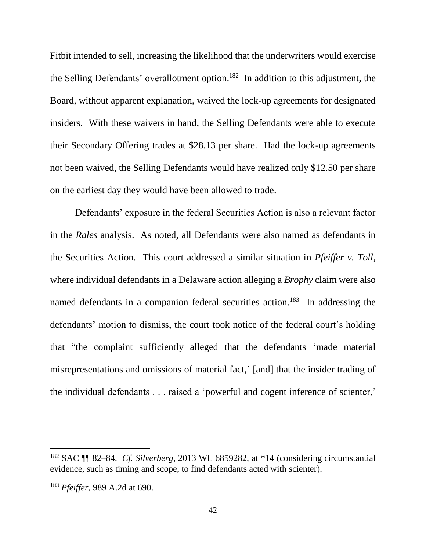Fitbit intended to sell, increasing the likelihood that the underwriters would exercise the Selling Defendants' overallotment option.<sup>182</sup> In addition to this adjustment, the Board, without apparent explanation, waived the lock-up agreements for designated insiders. With these waivers in hand, the Selling Defendants were able to execute their Secondary Offering trades at \$28.13 per share. Had the lock-up agreements not been waived, the Selling Defendants would have realized only \$12.50 per share on the earliest day they would have been allowed to trade.

Defendants' exposure in the federal Securities Action is also a relevant factor in the *Rales* analysis. As noted, all Defendants were also named as defendants in the Securities Action. This court addressed a similar situation in *Pfeiffer v. Toll*, where individual defendants in a Delaware action alleging a *Brophy* claim were also named defendants in a companion federal securities action.<sup>183</sup> In addressing the defendants' motion to dismiss, the court took notice of the federal court's holding that "the complaint sufficiently alleged that the defendants 'made material misrepresentations and omissions of material fact,' [and] that the insider trading of the individual defendants . . . raised a 'powerful and cogent inference of scienter,'

<sup>182</sup> SAC ¶¶ 82–84. *Cf. Silverberg*, 2013 WL 6859282, at \*14 (considering circumstantial evidence, such as timing and scope, to find defendants acted with scienter).

<sup>183</sup> *Pfeiffer*, 989 A.2d at 690.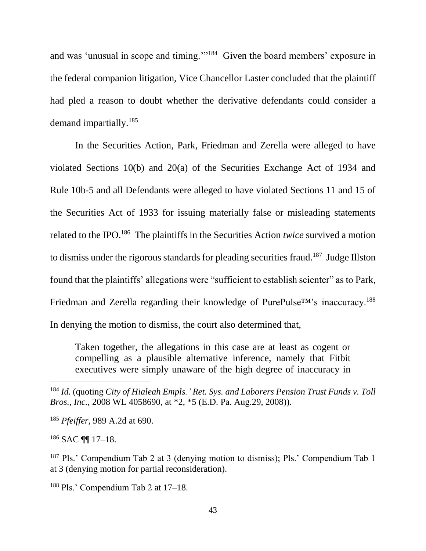and was 'unusual in scope and timing."<sup>184</sup> Given the board members' exposure in the federal companion litigation, Vice Chancellor Laster concluded that the plaintiff had pled a reason to doubt whether the derivative defendants could consider a demand impartially.<sup>185</sup>

In the Securities Action, Park, Friedman and Zerella were alleged to have violated Sections 10(b) and 20(a) of the Securities Exchange Act of 1934 and Rule 10b-5 and all Defendants were alleged to have violated Sections 11 and 15 of the Securities Act of 1933 for issuing materially false or misleading statements related to the IPO. 186 The plaintiffs in the Securities Action *twice* survived a motion to dismiss under the rigorous standards for pleading securities fraud.<sup>187</sup> Judge Illston found that the plaintiffs' allegations were "sufficient to establish scienter" as to Park, Friedman and Zerella regarding their knowledge of PurePulse<sup>™</sup>'s inaccuracy.<sup>188</sup> In denying the motion to dismiss, the court also determined that,

Taken together, the allegations in this case are at least as cogent or compelling as a plausible alternative inference, namely that Fitbit executives were simply unaware of the high degree of inaccuracy in

<sup>186</sup> SAC ¶¶ 17–18.

 $\overline{a}$ 

<sup>187</sup> Pls.' Compendium Tab 2 at 3 (denying motion to dismiss); Pls.' Compendium Tab 1 at 3 (denying motion for partial reconsideration).

<sup>188</sup> Pls.' Compendium Tab 2 at 17–18.

<sup>184</sup> *Id.* (quoting *City of Hialeah Empls.' Ret. Sys. and Laborers Pension Trust Funds v. Toll Bros., Inc.*, 2008 WL 4058690, at \*2, \*5 (E.D. Pa. Aug.29, 2008)).

<sup>185</sup> *Pfeiffer*, 989 A.2d at 690.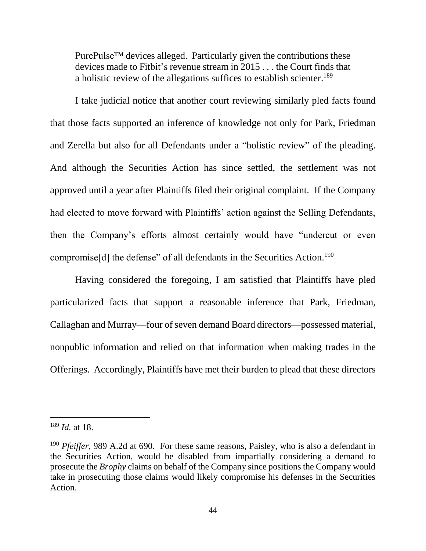PurePulse<sup>™</sup> devices alleged. Particularly given the contributions these devices made to Fitbit's revenue stream in 2015 . . . the Court finds that a holistic review of the allegations suffices to establish scienter.<sup>189</sup>

I take judicial notice that another court reviewing similarly pled facts found that those facts supported an inference of knowledge not only for Park, Friedman and Zerella but also for all Defendants under a "holistic review" of the pleading. And although the Securities Action has since settled, the settlement was not approved until a year after Plaintiffs filed their original complaint. If the Company had elected to move forward with Plaintiffs' action against the Selling Defendants, then the Company's efforts almost certainly would have "undercut or even compromise<sup>[d]</sup> the defense" of all defendants in the Securities Action.<sup>190</sup>

Having considered the foregoing, I am satisfied that Plaintiffs have pled particularized facts that support a reasonable inference that Park, Friedman, Callaghan and Murray—four of seven demand Board directors—possessed material, nonpublic information and relied on that information when making trades in the Offerings. Accordingly, Plaintiffs have met their burden to plead that these directors

<sup>189</sup> *Id.* at 18.

<sup>190</sup> *Pfeiffer*, 989 A.2d at 690. For these same reasons, Paisley, who is also a defendant in the Securities Action, would be disabled from impartially considering a demand to prosecute the *Brophy* claims on behalf of the Company since positions the Company would take in prosecuting those claims would likely compromise his defenses in the Securities Action.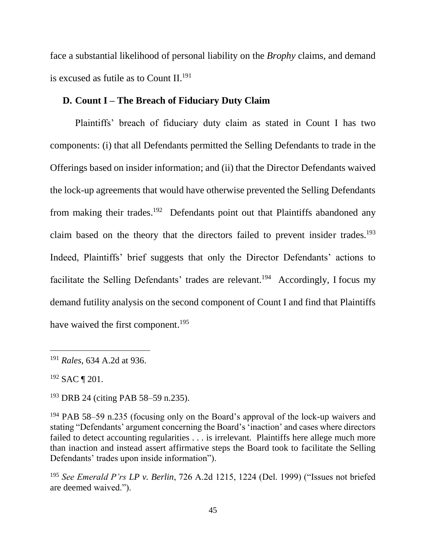face a substantial likelihood of personal liability on the *Brophy* claims, and demand is excused as futile as to Count II. 191

## **D. Count I – The Breach of Fiduciary Duty Claim**

Plaintiffs' breach of fiduciary duty claim as stated in Count I has two components: (i) that all Defendants permitted the Selling Defendants to trade in the Offerings based on insider information; and (ii) that the Director Defendants waived the lock-up agreements that would have otherwise prevented the Selling Defendants from making their trades.<sup>192</sup> Defendants point out that Plaintiffs abandoned any claim based on the theory that the directors failed to prevent insider trades. 193 Indeed, Plaintiffs' brief suggests that only the Director Defendants' actions to facilitate the Selling Defendants' trades are relevant.<sup>194</sup> Accordingly, I focus my demand futility analysis on the second component of Count I and find that Plaintiffs have waived the first component.<sup>195</sup>

<sup>191</sup> *Rales*, 634 A.2d at 936.

<sup>192</sup> SAC ¶ 201.

<sup>193</sup> DRB 24 (citing PAB 58–59 n.235).

<sup>194</sup> PAB 58–59 n.235 (focusing only on the Board's approval of the lock-up waivers and stating "Defendants' argument concerning the Board's 'inaction' and cases where directors failed to detect accounting regularities . . . is irrelevant. Plaintiffs here allege much more than inaction and instead assert affirmative steps the Board took to facilitate the Selling Defendants' trades upon inside information").

<sup>195</sup> *See Emerald P'rs LP v. Berlin*, 726 A.2d 1215, 1224 (Del. 1999) ("Issues not briefed are deemed waived.").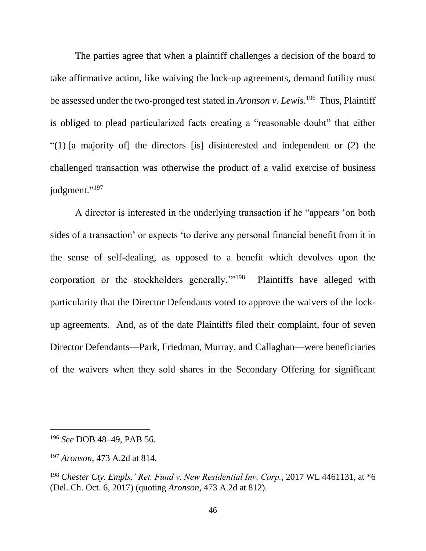The parties agree that when a plaintiff challenges a decision of the board to take affirmative action, like waiving the lock-up agreements, demand futility must be assessed under the two-pronged test stated in *Aronson v. Lewis*.<sup>196</sup> Thus, Plaintiff is obliged to plead particularized facts creating a "reasonable doubt" that either "(1) [a majority of] the directors [is] disinterested and independent or (2) the challenged transaction was otherwise the product of a valid exercise of business judgment."<sup>197</sup>

A director is interested in the underlying transaction if he "appears 'on both sides of a transaction' or expects 'to derive any personal financial benefit from it in the sense of self-dealing, as opposed to a benefit which devolves upon the corporation or the stockholders generally.'"<sup>198</sup> Plaintiffs have alleged with particularity that the Director Defendants voted to approve the waivers of the lockup agreements. And, as of the date Plaintiffs filed their complaint, four of seven Director Defendants—Park, Friedman, Murray, and Callaghan—were beneficiaries of the waivers when they sold shares in the Secondary Offering for significant

<sup>196</sup> *See* DOB 48–49, PAB 56.

<sup>197</sup> *Aronson*, 473 A.2d at 814.

<sup>198</sup> *Chester Cty. Empls.' Ret. Fund v. New Residential Inv. Corp.*, 2017 WL 4461131, at \*6 (Del. Ch. Oct. 6, 2017) (quoting *Aronson*, 473 A.2d at 812).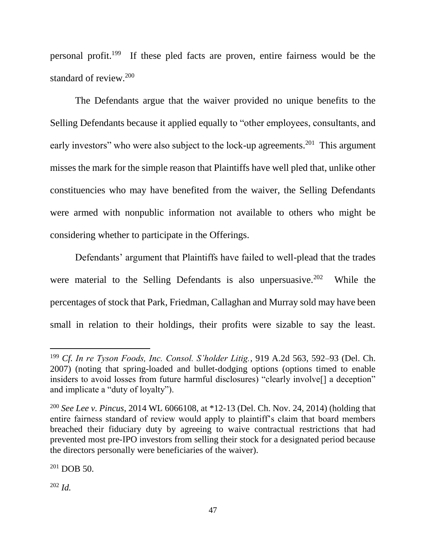personal profit.<sup>199</sup> If these pled facts are proven, entire fairness would be the standard of review.<sup>200</sup>

The Defendants argue that the waiver provided no unique benefits to the Selling Defendants because it applied equally to "other employees, consultants, and early investors" who were also subject to the lock-up agreements.<sup>201</sup> This argument misses the mark for the simple reason that Plaintiffs have well pled that, unlike other constituencies who may have benefited from the waiver, the Selling Defendants were armed with nonpublic information not available to others who might be considering whether to participate in the Offerings.

Defendants' argument that Plaintiffs have failed to well-plead that the trades were material to the Selling Defendants is also unpersuasive.<sup>202</sup> While the percentages of stock that Park, Friedman, Callaghan and Murray sold may have been small in relation to their holdings, their profits were sizable to say the least.

 $201$  DOB 50.

<sup>202</sup> *Id.*

<sup>199</sup> *Cf. In re Tyson Foods, Inc. Consol. S'holder Litig.*, 919 A.2d 563, 592–93 (Del. Ch. 2007) (noting that spring-loaded and bullet-dodging options (options timed to enable insiders to avoid losses from future harmful disclosures) "clearly involve<sup>[]</sup> a deception" and implicate a "duty of loyalty").

<sup>200</sup> *See Lee v. Pincus*, 2014 WL 6066108, at \*12-13 (Del. Ch. Nov. 24, 2014) (holding that entire fairness standard of review would apply to plaintiff's claim that board members breached their fiduciary duty by agreeing to waive contractual restrictions that had prevented most pre-IPO investors from selling their stock for a designated period because the directors personally were beneficiaries of the waiver).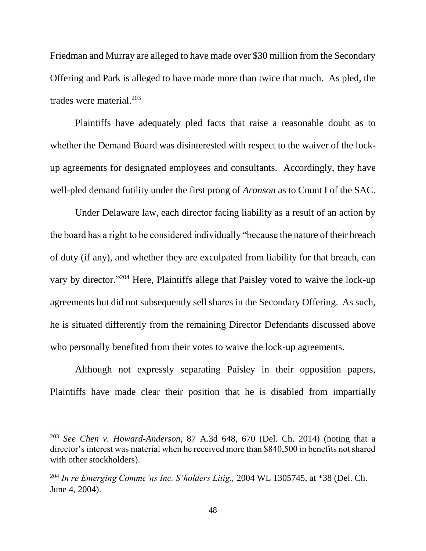Friedman and Murray are alleged to have made over \$30 million from the Secondary Offering and Park is alleged to have made more than twice that much. As pled, the trades were material.<sup>203</sup>

Plaintiffs have adequately pled facts that raise a reasonable doubt as to whether the Demand Board was disinterested with respect to the waiver of the lockup agreements for designated employees and consultants. Accordingly, they have well-pled demand futility under the first prong of *Aronson* as to Count I of the SAC.

Under Delaware law, each director facing liability as a result of an action by the board has a right to be considered individually "because the nature of their breach of duty (if any), and whether they are exculpated from liability for that breach, can vary by director."<sup>204</sup> Here, Plaintiffs allege that Paisley voted to waive the lock-up agreements but did not subsequently sell shares in the Secondary Offering. As such, he is situated differently from the remaining Director Defendants discussed above who personally benefited from their votes to waive the lock-up agreements.

Although not expressly separating Paisley in their opposition papers, Plaintiffs have made clear their position that he is disabled from impartially

<sup>203</sup> *See Chen v. Howard-Anderson*, 87 A.3d 648, 670 (Del. Ch. 2014) (noting that a director's interest was material when he received more than \$840,500 in benefits not shared with other stockholders).

<sup>204</sup> *In re Emerging Commc'ns Inc. S'holders Litig.,* 2004 WL 1305745, at \*38 (Del. Ch. June 4, 2004).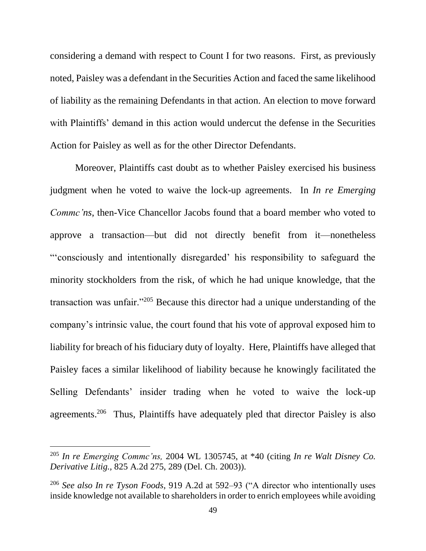considering a demand with respect to Count I for two reasons. First, as previously noted, Paisley was a defendant in the Securities Action and faced the same likelihood of liability as the remaining Defendants in that action. An election to move forward with Plaintiffs' demand in this action would undercut the defense in the Securities Action for Paisley as well as for the other Director Defendants.

Moreover, Plaintiffs cast doubt as to whether Paisley exercised his business judgment when he voted to waive the lock-up agreements. In *In re Emerging Commc'ns*, then-Vice Chancellor Jacobs found that a board member who voted to approve a transaction—but did not directly benefit from it—nonetheless "'consciously and intentionally disregarded' his responsibility to safeguard the minority stockholders from the risk, of which he had unique knowledge, that the transaction was unfair."<sup>205</sup> Because this director had a unique understanding of the company's intrinsic value, the court found that his vote of approval exposed him to liability for breach of his fiduciary duty of loyalty. Here, Plaintiffs have alleged that Paisley faces a similar likelihood of liability because he knowingly facilitated the Selling Defendants' insider trading when he voted to waive the lock-up agreements.<sup>206</sup> Thus, Plaintiffs have adequately pled that director Paisley is also

<sup>205</sup> *In re Emerging Commc'ns,* 2004 WL 1305745, at \*40 (citing *In re Walt Disney Co. Derivative Litig.,* 825 A.2d 275, 289 (Del. Ch. 2003)).

<sup>206</sup> *See also In re Tyson Foods*, 919 A.2d at 592–93 ("A director who intentionally uses inside knowledge not available to shareholders in order to enrich employees while avoiding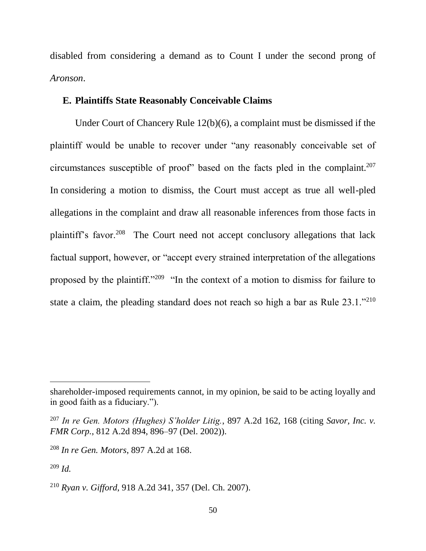disabled from considering a demand as to Count I under the second prong of *Aronson*.

# **E. Plaintiffs State Reasonably Conceivable Claims**

Under Court of Chancery Rule 12(b)(6), a complaint must be dismissed if the plaintiff would be unable to recover under "any reasonably conceivable set of circumstances susceptible of proof" based on the facts pled in the complaint.<sup>207</sup> In considering a motion to dismiss, the Court must accept as true all well-pled allegations in the complaint and draw all reasonable inferences from those facts in plaintiff's favor.<sup>208</sup> The Court need not accept conclusory allegations that lack factual support, however, or "accept every strained interpretation of the allegations proposed by the plaintiff."<sup>209</sup> "In the context of a motion to dismiss for failure to state a claim, the pleading standard does not reach so high a bar as Rule 23.1."<sup>210</sup>

shareholder-imposed requirements cannot, in my opinion, be said to be acting loyally and in good faith as a fiduciary.").

<sup>207</sup> *In re Gen. Motors (Hughes) S'holder Litig.*, 897 A.2d 162, 168 (citing *[Savor, Inc. v.](https://1.next.westlaw.com/Link/Document/FullText?findType=Y&serNum=2002789824&pubNum=0000162&originatingDoc=Ia10fb782ba7611dab6b19d807577f4c3&refType=RP&fi=co_pp_sp_162_896&originationContext=document&transitionType=DocumentItem&contextData=(sc.UserEnteredCitation)#co_pp_sp_162_896)  FMR Corp.*, [812 A.2d 894, 896–97 \(Del. 2002\)\)](https://1.next.westlaw.com/Link/Document/FullText?findType=Y&serNum=2002789824&pubNum=0000162&originatingDoc=Ia10fb782ba7611dab6b19d807577f4c3&refType=RP&fi=co_pp_sp_162_896&originationContext=document&transitionType=DocumentItem&contextData=(sc.UserEnteredCitation)#co_pp_sp_162_896).

<sup>208</sup> *In re Gen. Motors*, 897 A.2d at 168.

<sup>209</sup> *Id.*

<sup>210</sup> *Ryan v. Gifford*, 918 A.2d 341, 357 (Del. Ch. 2007).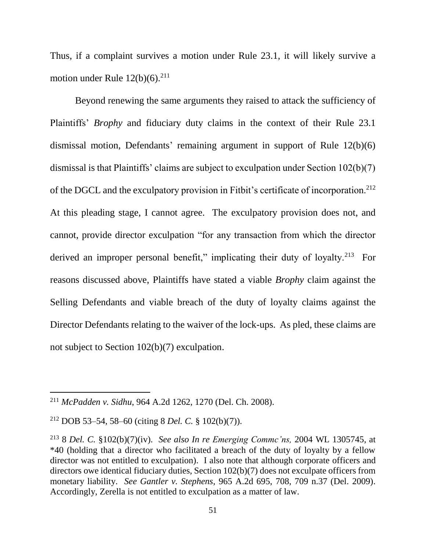Thus, if a complaint survives a motion under Rule 23.1, it will likely survive a motion under Rule  $12(b)(6)$ .<sup>211</sup>

Beyond renewing the same arguments they raised to attack the sufficiency of Plaintiffs' *Brophy* and fiduciary duty claims in the context of their Rule 23.1 dismissal motion, Defendants' remaining argument in support of Rule 12(b)(6) dismissal is that Plaintiffs' claims are subject to exculpation under Section 102(b)(7) of the DGCL and the exculpatory provision in Fitbit's certificate of incorporation.<sup>212</sup> At this pleading stage, I cannot agree. The exculpatory provision does not, and cannot, provide director exculpation "for any transaction from which the director derived an improper personal benefit," implicating their duty of loyalty.<sup>213</sup> For reasons discussed above, Plaintiffs have stated a viable *Brophy* claim against the Selling Defendants and viable breach of the duty of loyalty claims against the Director Defendants relating to the waiver of the lock-ups. As pled, these claims are not subject to Section 102(b)(7) exculpation.

<sup>211</sup> *McPadden v. Sidhu*, 964 A.2d 1262, 1270 (Del. Ch. 2008).

<sup>212</sup> DOB 53–54, 58–60 (citing 8 *Del. C.* § 102(b)(7)).

<sup>213</sup> 8 *Del. C.* §102(b)(7)(iv). *See also In re Emerging Commc'ns,* 2004 WL 1305745, at \*40 (holding that a director who facilitated a breach of the duty of loyalty by a fellow director was not entitled to exculpation). I also note that although corporate officers and directors owe identical fiduciary duties, Section 102(b)(7) does not exculpate officers from monetary liability. *See Gantler v. Stephens*, 965 A.2d 695, 708, 709 n.37 (Del. 2009). Accordingly, Zerella is not entitled to exculpation as a matter of law.